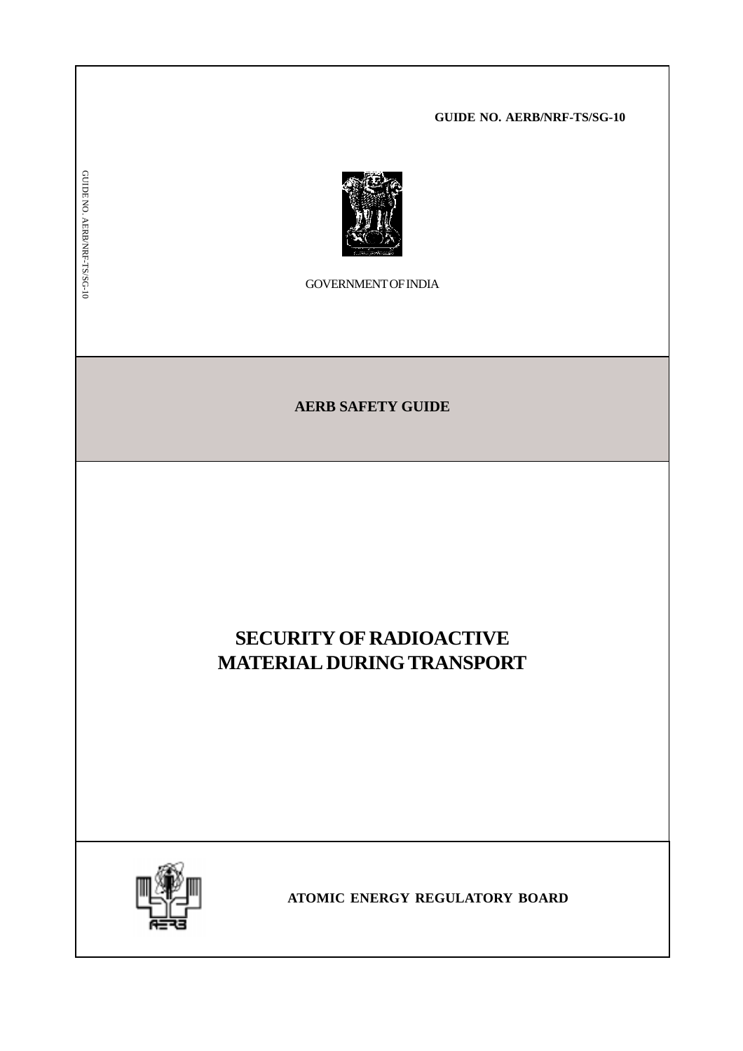**GUIDE NO. AERB/NRF-TS/SG-10**



GOVERNMENT OF INDIA

**AERB SAFETY GUIDE**

# **SECURITY OF RADIOACTIVE MATERIAL DURING TRANSPORT**



GUIDE NO. AERB/NRF-TS/SG-10

GUIDE NO. AERB/NRF-TS/SG-10

**ATOMIC ENERGY REGULATORY BOARD**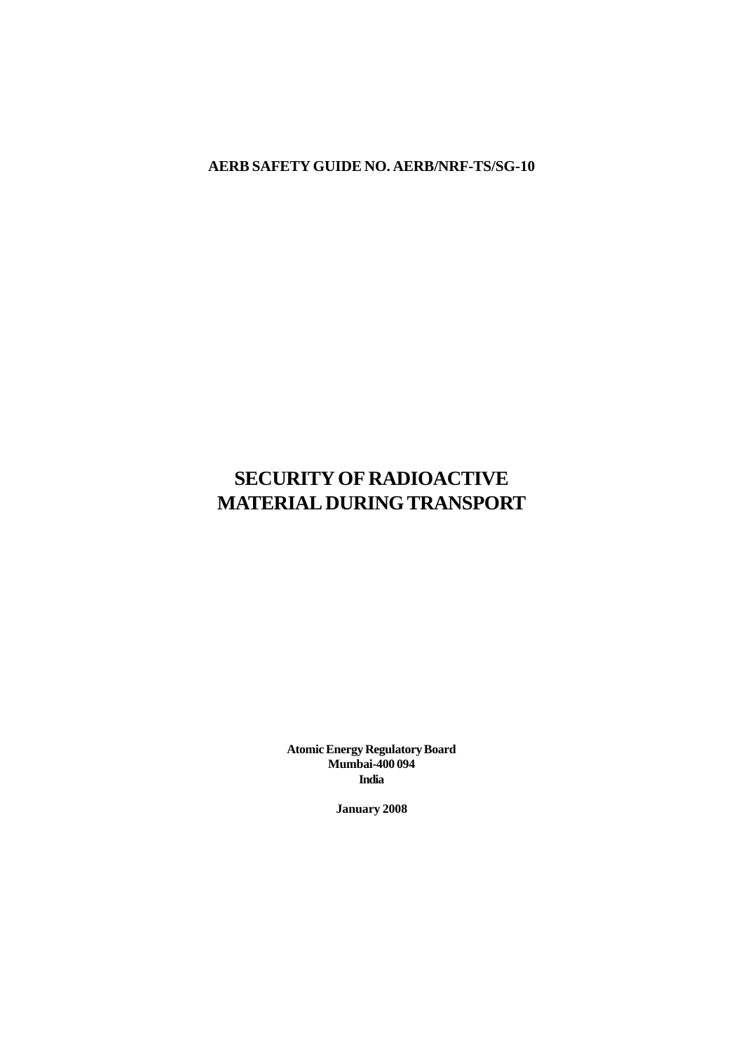**AERB SAFETY GUIDE NO. AERB/NRF-TS/SG-10**

# **SECURITY OF RADIOACTIVE MATERIAL DURING TRANSPORT**

**Atomic Energy Regulatory Board Mumbai-400 094 India**

**January 2008**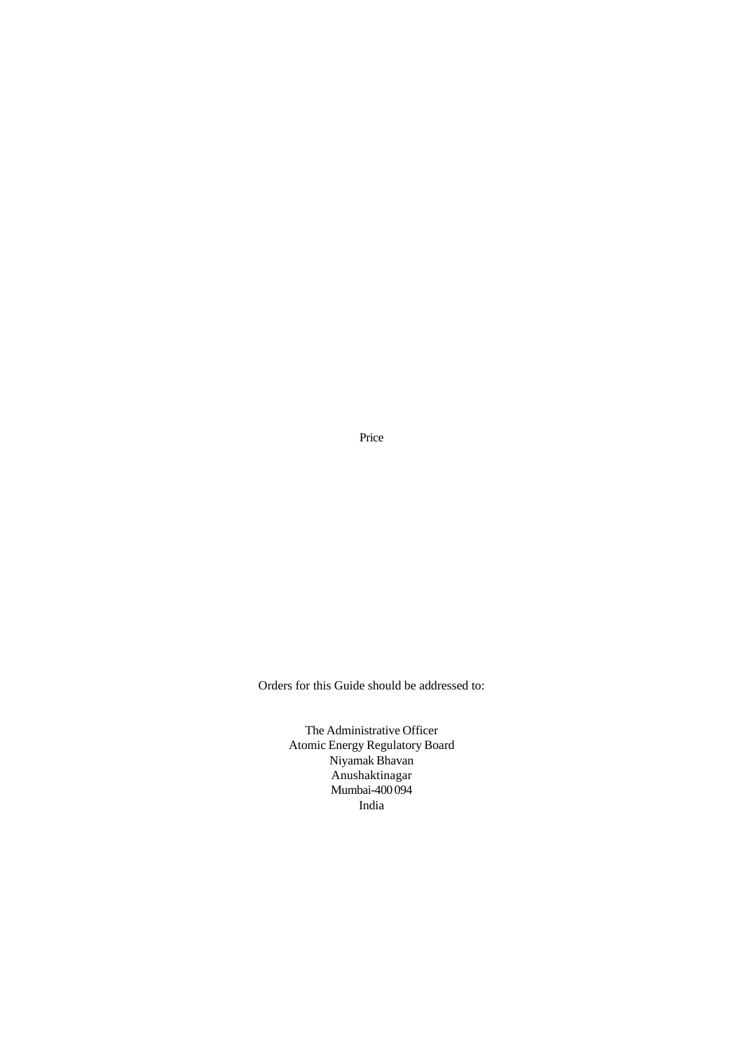Price

Orders for this Guide should be addressed to:

The Administrative Officer Atomic Energy Regulatory Board Niyamak Bhavan Anushaktinagar Mumbai-400 094 India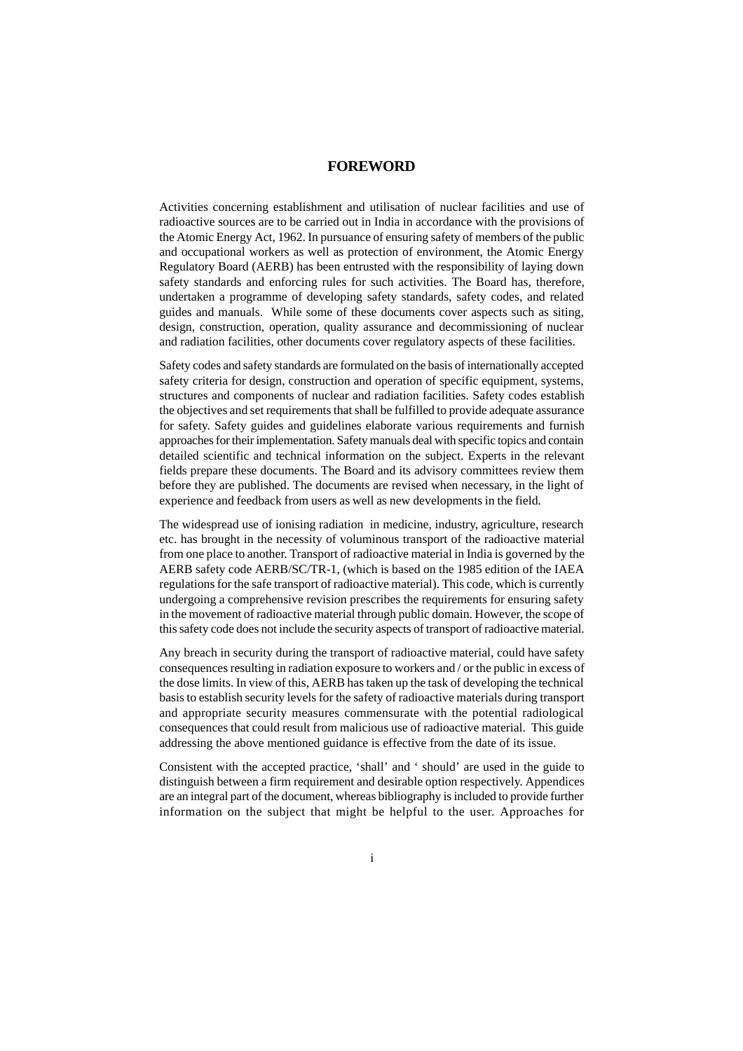### **FOREWORD**

Activities concerning establishment and utilisation of nuclear facilities and use of radioactive sources are to be carried out in India in accordance with the provisions of the Atomic Energy Act, 1962. In pursuance of ensuring safety of members of the public and occupational workers as well as protection of environment, the Atomic Energy Regulatory Board (AERB) has been entrusted with the responsibility of laying down safety standards and enforcing rules for such activities. The Board has, therefore, undertaken a programme of developing safety standards, safety codes, and related guides and manuals. While some of these documents cover aspects such as siting, design, construction, operation, quality assurance and decommissioning of nuclear and radiation facilities, other documents cover regulatory aspects of these facilities.

Safety codes and safety standards are formulated on the basis of internationally accepted safety criteria for design, construction and operation of specific equipment, systems, structures and components of nuclear and radiation facilities. Safety codes establish the objectives and set requirements that shall be fulfilled to provide adequate assurance for safety. Safety guides and guidelines elaborate various requirements and furnish approaches for their implementation. Safety manuals deal with specific topics and contain detailed scientific and technical information on the subject. Experts in the relevant fields prepare these documents. The Board and its advisory committees review them before they are published. The documents are revised when necessary, in the light of experience and feedback from users as well as new developments in the field.

The widespread use of ionising radiation in medicine, industry, agriculture, research etc. has brought in the necessity of voluminous transport of the radioactive material from one place to another. Transport of radioactive material in India is governed by the AERB safety code AERB/SC/TR-1, (which is based on the 1985 edition of the IAEA regulations for the safe transport of radioactive material). This code, which is currently undergoing a comprehensive revision prescribes the requirements for ensuring safety in the movement of radioactive material through public domain. However, the scope of this safety code does not include the security aspects of transport of radioactive material.

Any breach in security during the transport of radioactive material, could have safety consequences resulting in radiation exposure to workers and / or the public in excess of the dose limits. In view of this, AERB has taken up the task of developing the technical basis to establish security levels for the safety of radioactive materials during transport and appropriate security measures commensurate with the potential radiological consequences that could result from malicious use of radioactive material. This guide addressing the above mentioned guidance is effective from the date of its issue.

Consistent with the accepted practice, 'shall' and ' should' are used in the guide to distinguish between a firm requirement and desirable option respectively. Appendices are an integral part of the document, whereas bibliography is included to provide further information on the subject that might be helpful to the user. Approaches for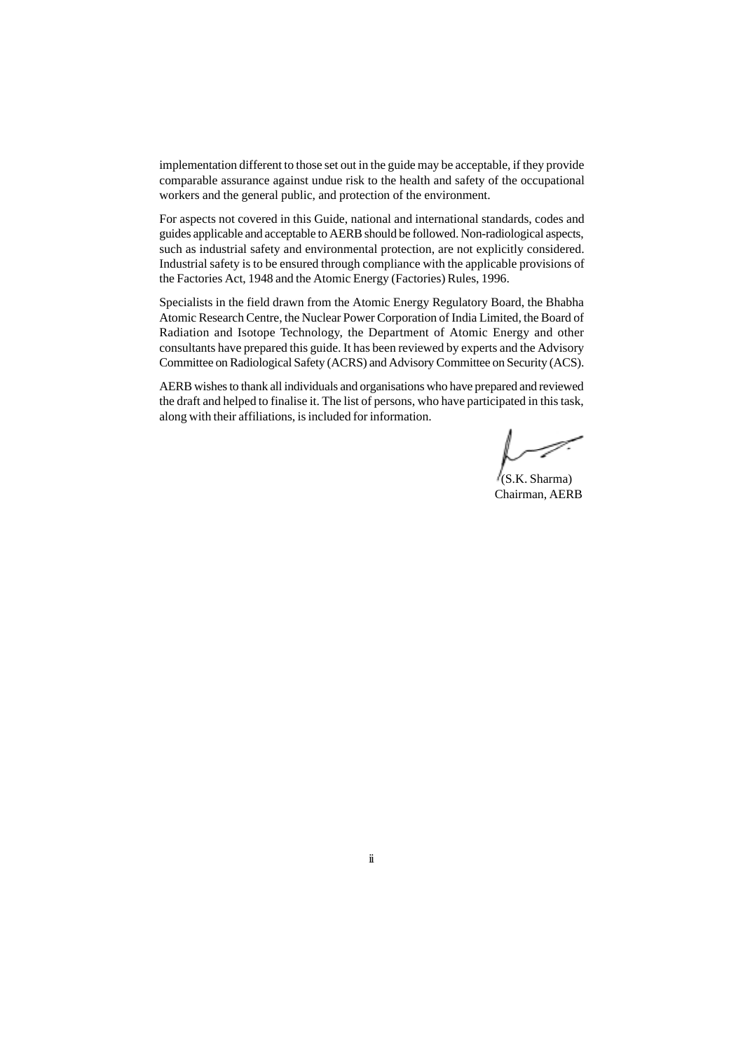implementation different to those set out in the guide may be acceptable, if they provide comparable assurance against undue risk to the health and safety of the occupational workers and the general public, and protection of the environment.

For aspects not covered in this Guide, national and international standards, codes and guides applicable and acceptable to AERB should be followed. Non-radiological aspects, such as industrial safety and environmental protection, are not explicitly considered. Industrial safety is to be ensured through compliance with the applicable provisions of the Factories Act, 1948 and the Atomic Energy (Factories) Rules, 1996.

Specialists in the field drawn from the Atomic Energy Regulatory Board, the Bhabha Atomic Research Centre, the Nuclear Power Corporation of India Limited, the Board of Radiation and Isotope Technology, the Department of Atomic Energy and other consultants have prepared this guide. It has been reviewed by experts and the Advisory Committee on Radiological Safety (ACRS) and Advisory Committee on Security (ACS).

AERB wishes to thank all individuals and organisations who have prepared and reviewed the draft and helped to finalise it. The list of persons, who have participated in this task, along with their affiliations, is included for information.

 (S.K. Sharma) Chairman, AERB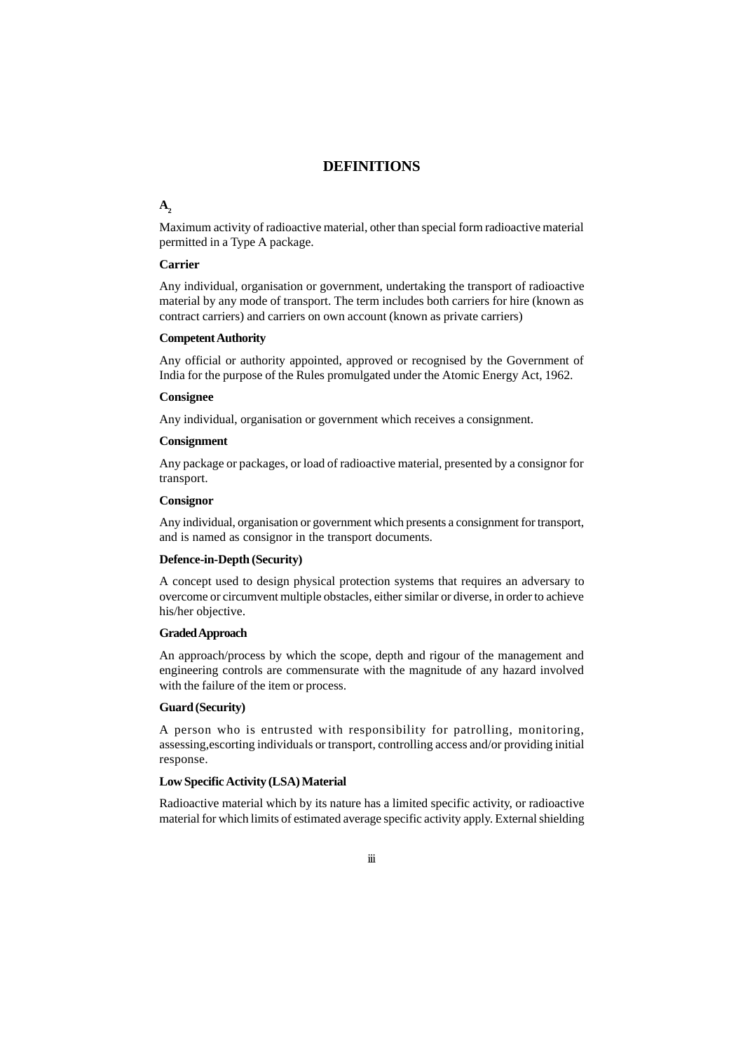### **DEFINITIONS**

#### A<sub>2</sub>

Maximum activity of radioactive material, other than special form radioactive material permitted in a Type A package.

#### **Carrier**

Any individual, organisation or government, undertaking the transport of radioactive material by any mode of transport. The term includes both carriers for hire (known as contract carriers) and carriers on own account (known as private carriers)

#### **Competent Authority**

Any official or authority appointed, approved or recognised by the Government of India for the purpose of the Rules promulgated under the Atomic Energy Act, 1962.

#### **Consignee**

Any individual, organisation or government which receives a consignment.

#### **Consignment**

Any package or packages, or load of radioactive material, presented by a consignor for transport.

### **Consignor**

Any individual, organisation or government which presents a consignment for transport, and is named as consignor in the transport documents.

#### **Defence-in-Depth (Security)**

A concept used to design physical protection systems that requires an adversary to overcome or circumvent multiple obstacles, either similar or diverse, in order to achieve his/her objective.

### **Graded Approach**

An approach/process by which the scope, depth and rigour of the management and engineering controls are commensurate with the magnitude of any hazard involved with the failure of the item or process.

#### **Guard (Security)**

A person who is entrusted with responsibility for patrolling, monitoring, assessing,escorting individuals or transport, controlling access and/or providing initial response.

#### **Low Specific Activity (LSA) Material**

Radioactive material which by its nature has a limited specific activity, or radioactive material for which limits of estimated average specific activity apply. External shielding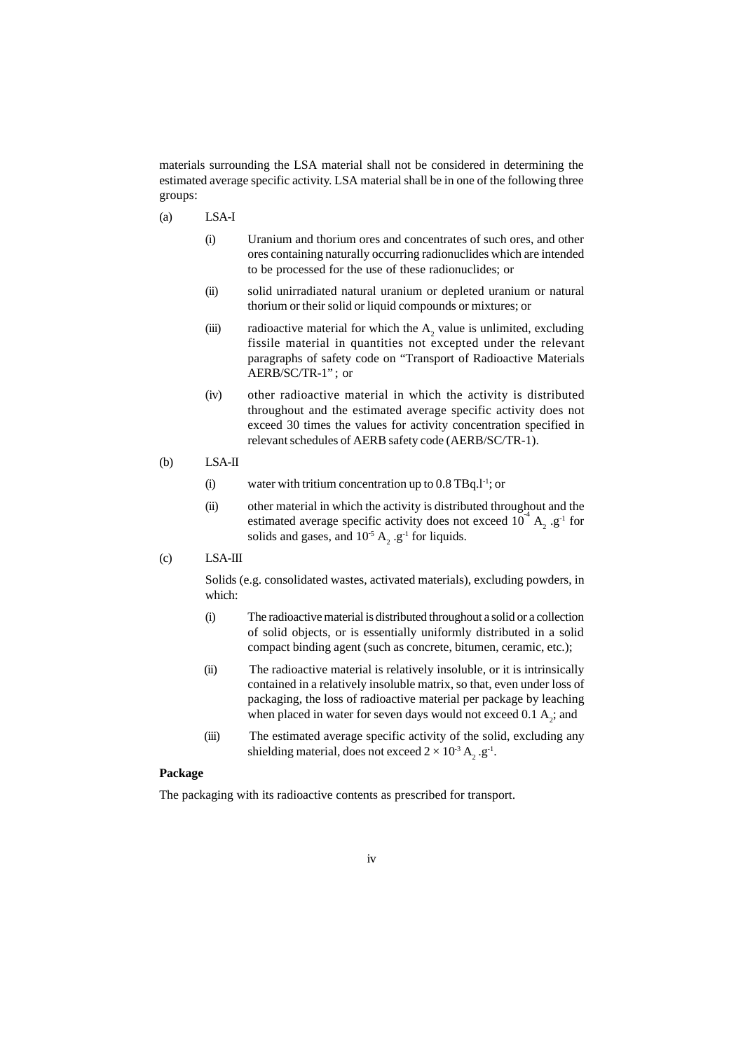materials surrounding the LSA material shall not be considered in determining the estimated average specific activity. LSA material shall be in one of the following three groups:

- (a) LSA-I
	- (i) Uranium and thorium ores and concentrates of such ores, and other ores containing naturally occurring radionuclides which are intended to be processed for the use of these radionuclides; or
	- (ii) solid unirradiated natural uranium or depleted uranium or natural thorium or their solid or liquid compounds or mixtures; or
	- (iii) radioactive material for which the  $A_2$  value is unlimited, excluding fissile material in quantities not excepted under the relevant paragraphs of safety code on "Transport of Radioactive Materials AERB/SC/TR-1" ; or
	- (iv) other radioactive material in which the activity is distributed throughout and the estimated average specific activity does not exceed 30 times the values for activity concentration specified in relevant schedules of AERB safety code (AERB/SC/TR-1).
- (b) LSA-II
	- (i) water with tritium concentration up to  $0.8$  TBq.1<sup>-1</sup>; or
	- (ii) other material in which the activity is distributed throughout and the estimated average specific activity does not exceed  $10^4$  A<sub>2</sub> .g<sup>-1</sup> for solids and gases, and  $10^{-5}$  A<sub>2</sub> .g<sup>-1</sup> for liquids.
- (c) LSA-III

Solids (e.g. consolidated wastes, activated materials), excluding powders, in which:

- (i) The radioactive material is distributed throughout a solid or a collection of solid objects, or is essentially uniformly distributed in a solid compact binding agent (such as concrete, bitumen, ceramic, etc.);
- (ii) The radioactive material is relatively insoluble, or it is intrinsically contained in a relatively insoluble matrix, so that, even under loss of packaging, the loss of radioactive material per package by leaching when placed in water for seven days would not exceed  $0.1 \, \text{A}_2$ ; and
- (iii) The estimated average specific activity of the solid, excluding any shielding material, does not exceed  $2 \times 10^{-3}$  A<sub>2</sub> .g<sup>-1</sup>.

### **Package**

The packaging with its radioactive contents as prescribed for transport.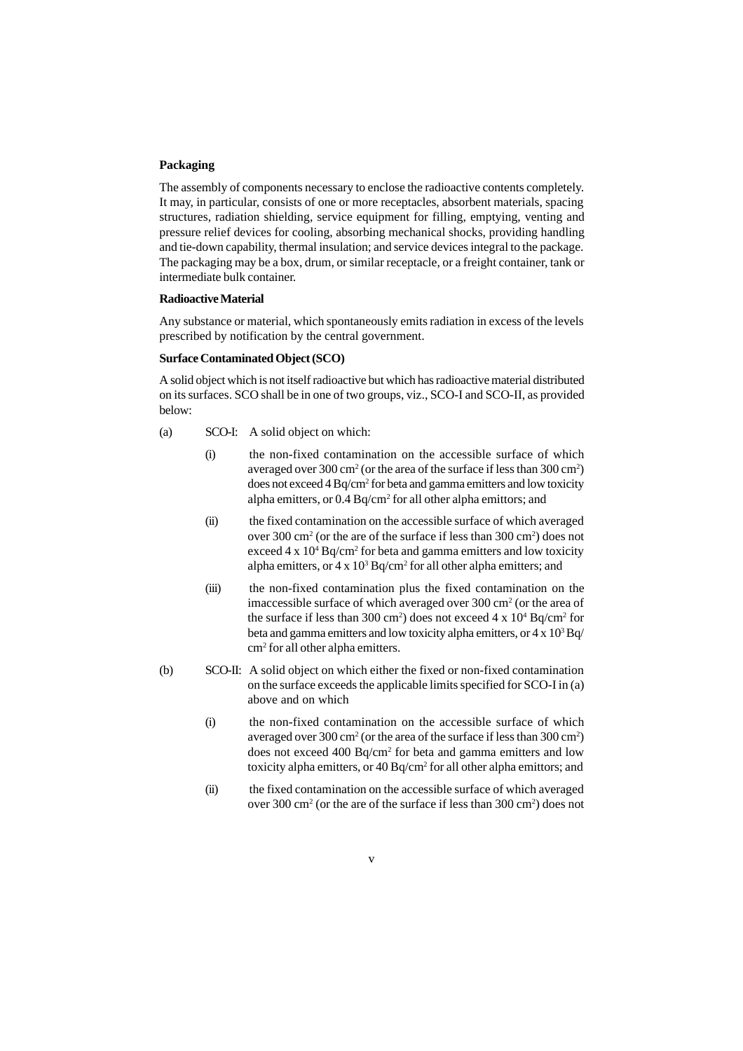#### **Packaging**

The assembly of components necessary to enclose the radioactive contents completely. It may, in particular, consists of one or more receptacles, absorbent materials, spacing structures, radiation shielding, service equipment for filling, emptying, venting and pressure relief devices for cooling, absorbing mechanical shocks, providing handling and tie-down capability, thermal insulation; and service devices integral to the package. The packaging may be a box, drum, or similar receptacle, or a freight container, tank or intermediate bulk container.

### **Radioactive Material**

Any substance or material, which spontaneously emits radiation in excess of the levels prescribed by notification by the central government.

#### **Surface Contaminated Object (SCO)**

A solid object which is not itself radioactive but which has radioactive material distributed on its surfaces. SCO shall be in one of two groups, viz., SCO-I and SCO-II, as provided below:

- (a) SCO-I: A solid object on which:
	- (i) the non-fixed contamination on the accessible surface of which averaged over 300 cm<sup>2</sup> (or the area of the surface if less than 300 cm<sup>2</sup>) does not exceed 4 Bq/cm<sup>2</sup> for beta and gamma emitters and low toxicity alpha emitters, or  $0.4 \text{ Bq/cm}^2$  for all other alpha emittors; and
	- (ii) the fixed contamination on the accessible surface of which averaged over 300 cm<sup>2</sup> (or the are of the surface if less than 300 cm<sup>2</sup>) does not exceed  $4 \times 10^4$  Bq/cm<sup>2</sup> for beta and gamma emitters and low toxicity alpha emitters, or  $4 \times 10^3$  Bq/cm<sup>2</sup> for all other alpha emitters; and
	- (iii) the non-fixed contamination plus the fixed contamination on the imaccessible surface of which averaged over 300 cm<sup>2</sup> (or the area of the surface if less than 300 cm<sup>2</sup>) does not exceed  $4 \times 10^4$  Bq/cm<sup>2</sup> for beta and gamma emitters and low toxicity alpha emitters, or  $4 \times 10^3$  Bq/ cm2 for all other alpha emitters.
- (b) SCO-II: A solid object on which either the fixed or non-fixed contamination on the surface exceeds the applicable limits specified for SCO-I in (a) above and on which
	- (i) the non-fixed contamination on the accessible surface of which averaged over 300 cm<sup>2</sup> (or the area of the surface if less than 300 cm<sup>2</sup>) does not exceed 400 Bq/cm<sup>2</sup> for beta and gamma emitters and low toxicity alpha emitters, or 40 Bq/cm<sup>2</sup> for all other alpha emittors; and
	- (ii) the fixed contamination on the accessible surface of which averaged over 300 cm<sup>2</sup> (or the are of the surface if less than 300 cm<sup>2</sup>) does not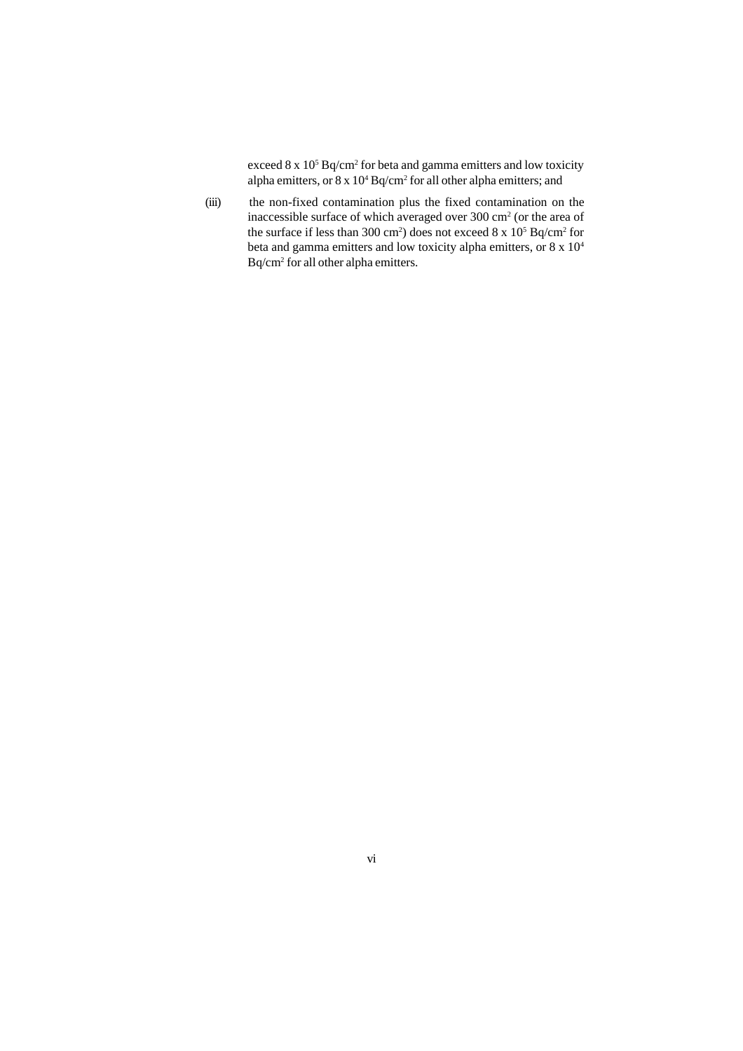exceed  $8 \times 10^5$  Bq/cm<sup>2</sup> for beta and gamma emitters and low toxicity alpha emitters, or  $8 \times 10^4$  Bq/cm<sup>2</sup> for all other alpha emitters; and

(iii) the non-fixed contamination plus the fixed contamination on the inaccessible surface of which averaged over  $300 \text{ cm}^2$  (or the area of the surface if less than 300 cm<sup>2</sup>) does not exceed  $8 \times 10^5$  Bq/cm<sup>2</sup> for beta and gamma emitters and low toxicity alpha emitters, or 8 x 104 Bq/cm2 for all other alpha emitters.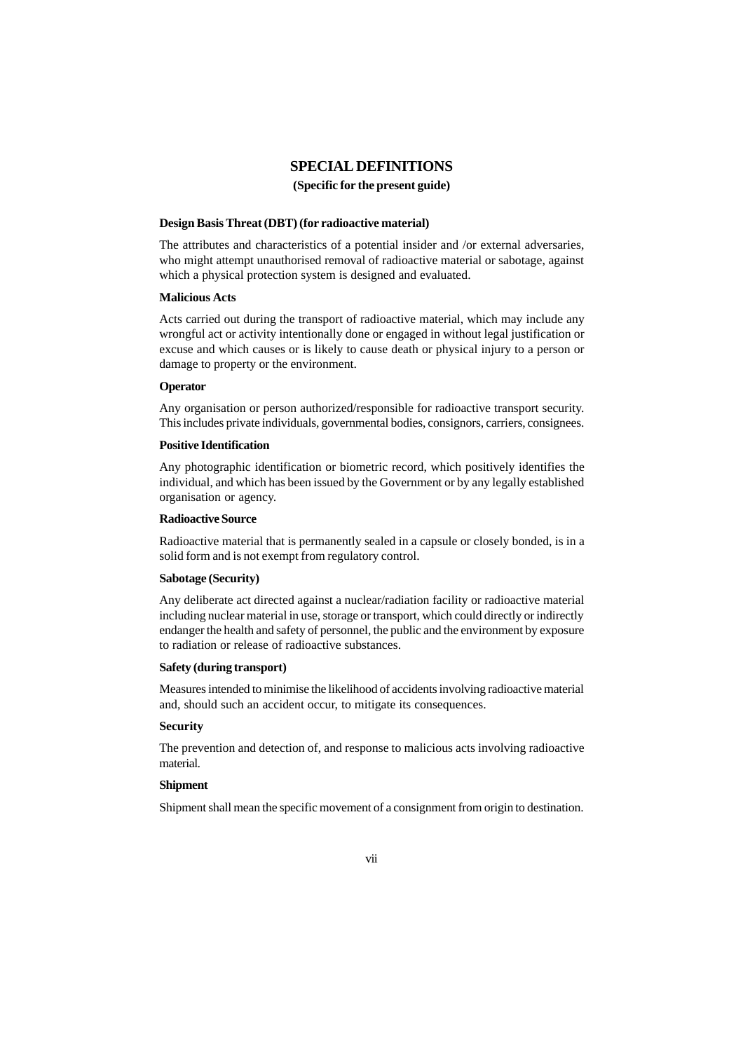### **SPECIAL DEFINITIONS**

#### **(Specific for the present guide)**

#### **Design Basis Threat (DBT) (for radioactive material)**

The attributes and characteristics of a potential insider and /or external adversaries, who might attempt unauthorised removal of radioactive material or sabotage, against which a physical protection system is designed and evaluated.

#### **Malicious Acts**

Acts carried out during the transport of radioactive material, which may include any wrongful act or activity intentionally done or engaged in without legal justification or excuse and which causes or is likely to cause death or physical injury to a person or damage to property or the environment.

### **Operator**

Any organisation or person authorized/responsible for radioactive transport security. This includes private individuals, governmental bodies, consignors, carriers, consignees.

### **Positive Identification**

Any photographic identification or biometric record, which positively identifies the individual, and which has been issued by the Government or by any legally established organisation or agency.

#### **Radioactive Source**

Radioactive material that is permanently sealed in a capsule or closely bonded, is in a solid form and is not exempt from regulatory control.

#### **Sabotage (Security)**

Any deliberate act directed against a nuclear/radiation facility or radioactive material including nuclear material in use, storage or transport, which could directly or indirectly endanger the health and safety of personnel, the public and the environment by exposure to radiation or release of radioactive substances.

#### **Safety (during transport)**

Measures intended to minimise the likelihood of accidents involving radioactive material and, should such an accident occur, to mitigate its consequences.

#### **Security**

The prevention and detection of, and response to malicious acts involving radioactive material.

### **Shipment**

Shipment shall mean the specific movement of a consignment from origin to destination.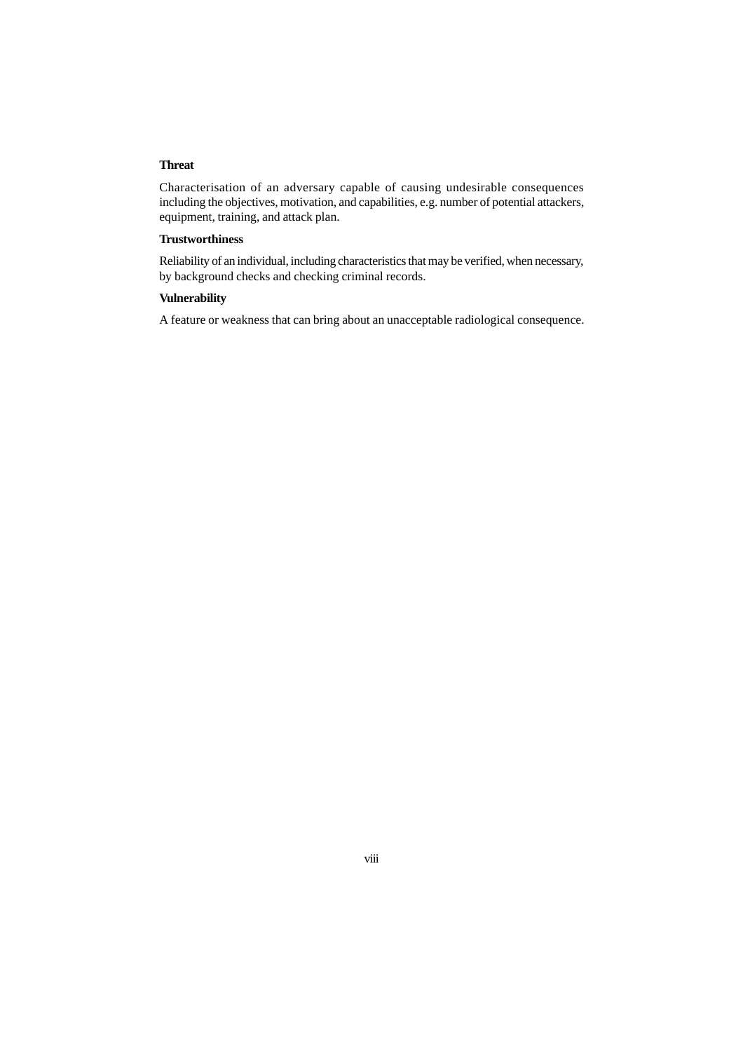#### **Threat**

Characterisation of an adversary capable of causing undesirable consequences including the objectives, motivation, and capabilities, e.g. number of potential attackers, equipment, training, and attack plan.

### **Trustworthiness**

Reliability of an individual, including characteristics that may be verified, when necessary, by background checks and checking criminal records.

### **Vulnerability**

A feature or weakness that can bring about an unacceptable radiological consequence.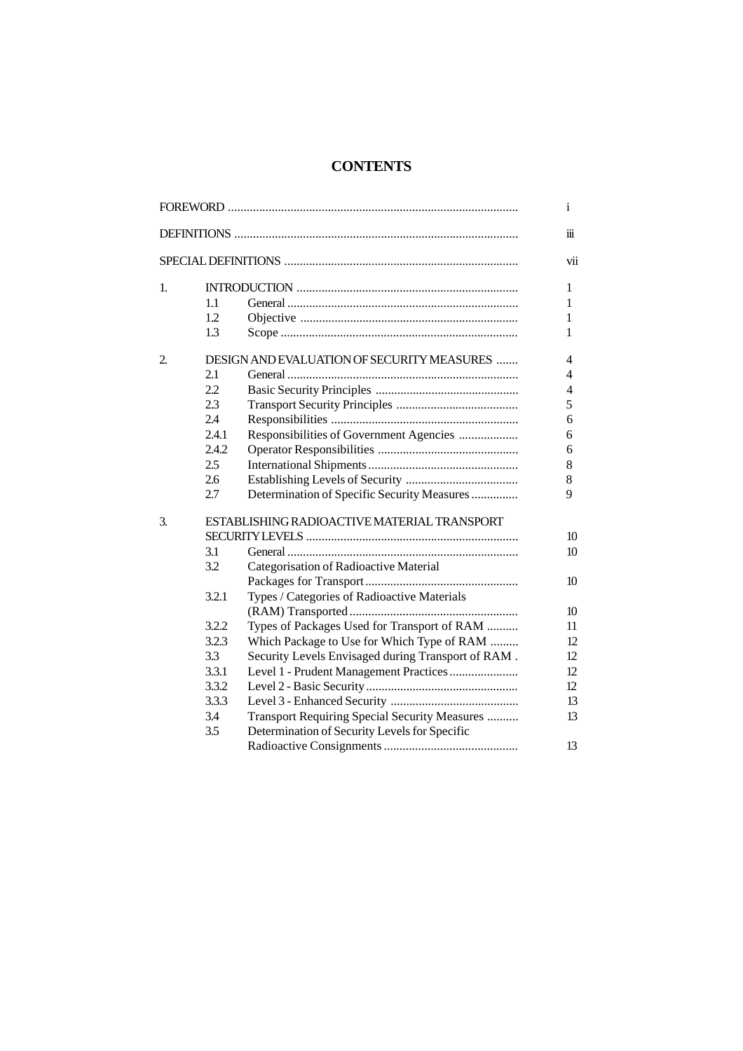## **CONTENTS**

|                |       |                                                    | i                    |
|----------------|-------|----------------------------------------------------|----------------------|
|                |       |                                                    | $\dddot{\mathbf{m}}$ |
|                |       |                                                    | vii                  |
| 1.             |       |                                                    | 1                    |
|                | 1.1   |                                                    | 1                    |
|                | 1.2   |                                                    | 1                    |
|                | 1.3   |                                                    | 1                    |
| $\overline{2}$ |       | DESIGN AND EVALUATION OF SECURITY MEASURES         | 4                    |
|                | 2.1   |                                                    | 4                    |
|                | 2.2   |                                                    | 4                    |
|                | 2.3   |                                                    | 5                    |
|                | 2.4   |                                                    | 6                    |
|                | 2.4.1 | Responsibilities of Government Agencies            | 6                    |
|                | 2.4.2 |                                                    | 6                    |
|                | 2.5   |                                                    | 8                    |
|                | 2.6   |                                                    | 8                    |
|                | 2.7   | Determination of Specific Security Measures        | 9                    |
| 3.             |       | ESTABLISHING RADIOACTIVE MATERIAL TRANSPORT        |                      |
|                |       |                                                    | 10                   |
|                | 3.1   |                                                    | 10                   |
|                | 3.2   | Categorisation of Radioactive Material             |                      |
|                |       |                                                    | 10                   |
|                | 3.2.1 | Types / Categories of Radioactive Materials        |                      |
|                |       |                                                    | 10                   |
|                | 3.2.2 | Types of Packages Used for Transport of RAM        | 11                   |
|                | 3.2.3 | Which Package to Use for Which Type of RAM         | 12                   |
|                | 3.3   | Security Levels Envisaged during Transport of RAM. | 12                   |
|                | 3.3.1 | Level 1 - Prudent Management Practices             | 12                   |
|                | 3.3.2 |                                                    | 12                   |
|                | 3.3.3 |                                                    | 13                   |
|                | 3.4   | Transport Requiring Special Security Measures      | 13                   |
|                | 3.5   | Determination of Security Levels for Specific      |                      |
|                |       |                                                    | 13                   |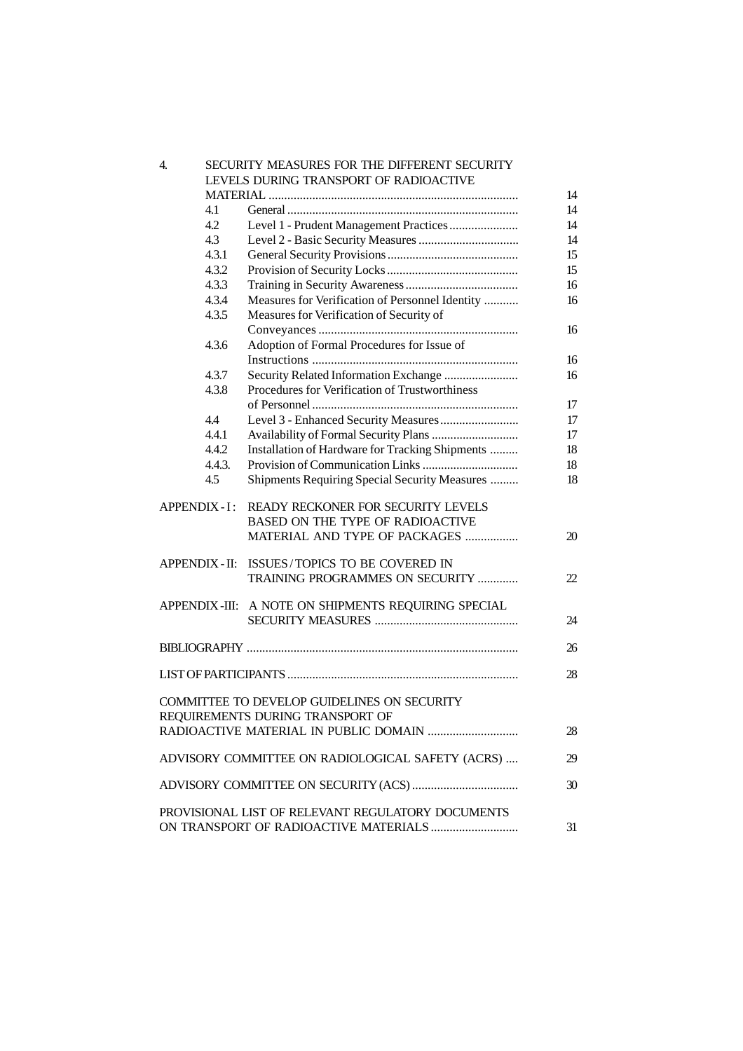| 4.                                                     |                                                   | SECURITY MEASURES FOR THE DIFFERENT SECURITY        |    |  |
|--------------------------------------------------------|---------------------------------------------------|-----------------------------------------------------|----|--|
| LEVELS DURING TRANSPORT OF RADIOACTIVE                 |                                                   |                                                     |    |  |
|                                                        |                                                   |                                                     | 14 |  |
|                                                        | 4.1                                               |                                                     | 14 |  |
|                                                        | 4.2                                               |                                                     | 14 |  |
|                                                        | 4.3                                               |                                                     | 14 |  |
|                                                        | 4.3.1                                             |                                                     | 15 |  |
|                                                        | 4.3.2                                             |                                                     | 15 |  |
|                                                        | 4.3.3                                             |                                                     | 16 |  |
|                                                        | 4.3.4                                             | Measures for Verification of Personnel Identity     | 16 |  |
|                                                        | 4.3.5                                             | Measures for Verification of Security of            |    |  |
|                                                        |                                                   |                                                     | 16 |  |
|                                                        | 4.3.6                                             | Adoption of Formal Procedures for Issue of          |    |  |
|                                                        |                                                   |                                                     | 16 |  |
|                                                        | 4.3.7                                             | Security Related Information Exchange               | 16 |  |
|                                                        | 4.3.8                                             | Procedures for Verification of Trustworthiness      |    |  |
|                                                        |                                                   |                                                     | 17 |  |
|                                                        | 4.4                                               |                                                     | 17 |  |
|                                                        | 4.4.1                                             |                                                     | 17 |  |
|                                                        | 4.4.2                                             | Installation of Hardware for Tracking Shipments     | 18 |  |
|                                                        | 4.4.3.                                            |                                                     | 18 |  |
|                                                        | 4.5                                               | Shipments Requiring Special Security Measures       | 18 |  |
|                                                        |                                                   |                                                     |    |  |
| <b>APPENDIX - I:</b>                                   |                                                   | READY RECKONER FOR SECURITY LEVELS                  |    |  |
|                                                        |                                                   | BASED ON THE TYPE OF RADIOACTIVE                    |    |  |
|                                                        |                                                   | MATERIAL AND TYPE OF PACKAGES                       | 20 |  |
|                                                        |                                                   | APPENDIX - II: ISSUES/TOPICS TO BE COVERED IN       |    |  |
|                                                        |                                                   | TRAINING PROGRAMMES ON SECURITY                     | 22 |  |
|                                                        |                                                   |                                                     |    |  |
|                                                        |                                                   | APPENDIX-III: A NOTE ON SHIPMENTS REQUIRING SPECIAL |    |  |
|                                                        |                                                   |                                                     | 24 |  |
|                                                        |                                                   |                                                     | 26 |  |
|                                                        |                                                   |                                                     | 28 |  |
|                                                        |                                                   |                                                     |    |  |
| COMMITTEE TO DEVELOP GUIDELINES ON SECURITY            |                                                   |                                                     |    |  |
|                                                        |                                                   | REQUIREMENTS DURING TRANSPORT OF                    |    |  |
| 28                                                     |                                                   |                                                     |    |  |
| ADVISORY COMMITTEE ON RADIOLOGICAL SAFETY (ACRS)<br>29 |                                                   |                                                     |    |  |
| 30                                                     |                                                   |                                                     |    |  |
|                                                        |                                                   |                                                     |    |  |
|                                                        | PROVISIONAL LIST OF RELEVANT REGULATORY DOCUMENTS |                                                     |    |  |
| 31                                                     |                                                   |                                                     |    |  |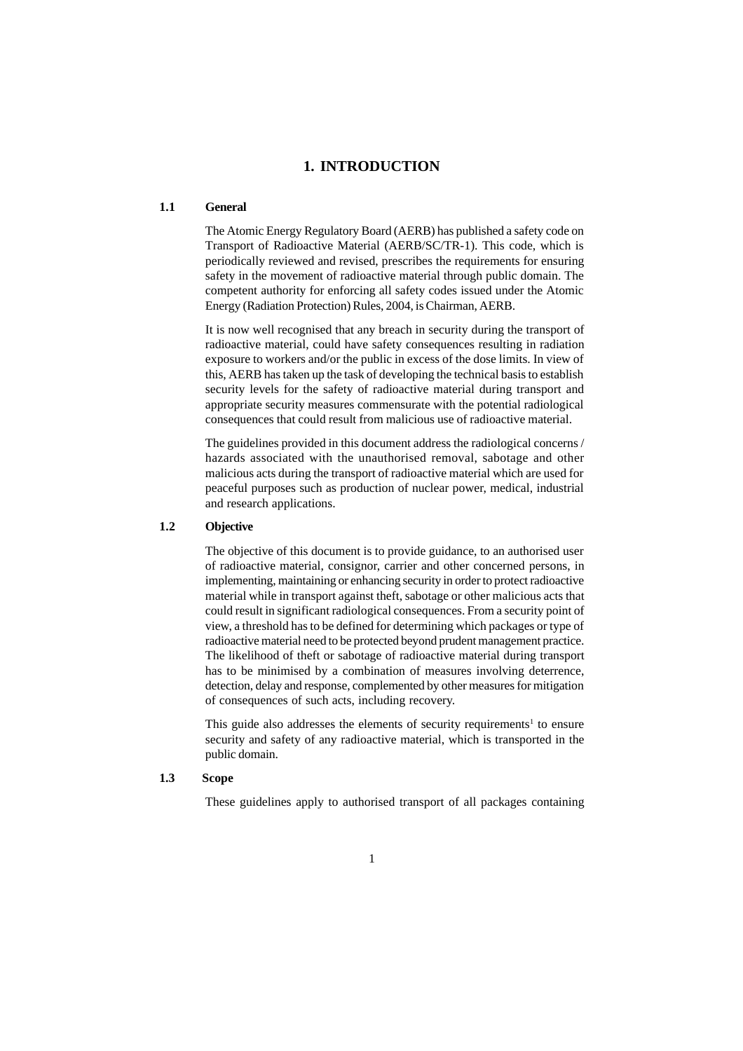### **1. INTRODUCTION**

### **1.1 General**

The Atomic Energy Regulatory Board (AERB) has published a safety code on Transport of Radioactive Material (AERB/SC/TR-1). This code, which is periodically reviewed and revised, prescribes the requirements for ensuring safety in the movement of radioactive material through public domain. The competent authority for enforcing all safety codes issued under the Atomic Energy (Radiation Protection) Rules, 2004, is Chairman, AERB.

It is now well recognised that any breach in security during the transport of radioactive material, could have safety consequences resulting in radiation exposure to workers and/or the public in excess of the dose limits. In view of this, AERB has taken up the task of developing the technical basis to establish security levels for the safety of radioactive material during transport and appropriate security measures commensurate with the potential radiological consequences that could result from malicious use of radioactive material.

The guidelines provided in this document address the radiological concerns / hazards associated with the unauthorised removal, sabotage and other malicious acts during the transport of radioactive material which are used for peaceful purposes such as production of nuclear power, medical, industrial and research applications.

#### **1.2 Objective**

The objective of this document is to provide guidance, to an authorised user of radioactive material, consignor, carrier and other concerned persons, in implementing, maintaining or enhancing security in order to protect radioactive material while in transport against theft, sabotage or other malicious acts that could result in significant radiological consequences. From a security point of view, a threshold has to be defined for determining which packages or type of radioactive material need to be protected beyond prudent management practice. The likelihood of theft or sabotage of radioactive material during transport has to be minimised by a combination of measures involving deterrence, detection, delay and response, complemented by other measures for mitigation of consequences of such acts, including recovery.

This guide also addresses the elements of security requirements<sup>1</sup> to ensure security and safety of any radioactive material, which is transported in the public domain.

### **1.3 Scope**

These guidelines apply to authorised transport of all packages containing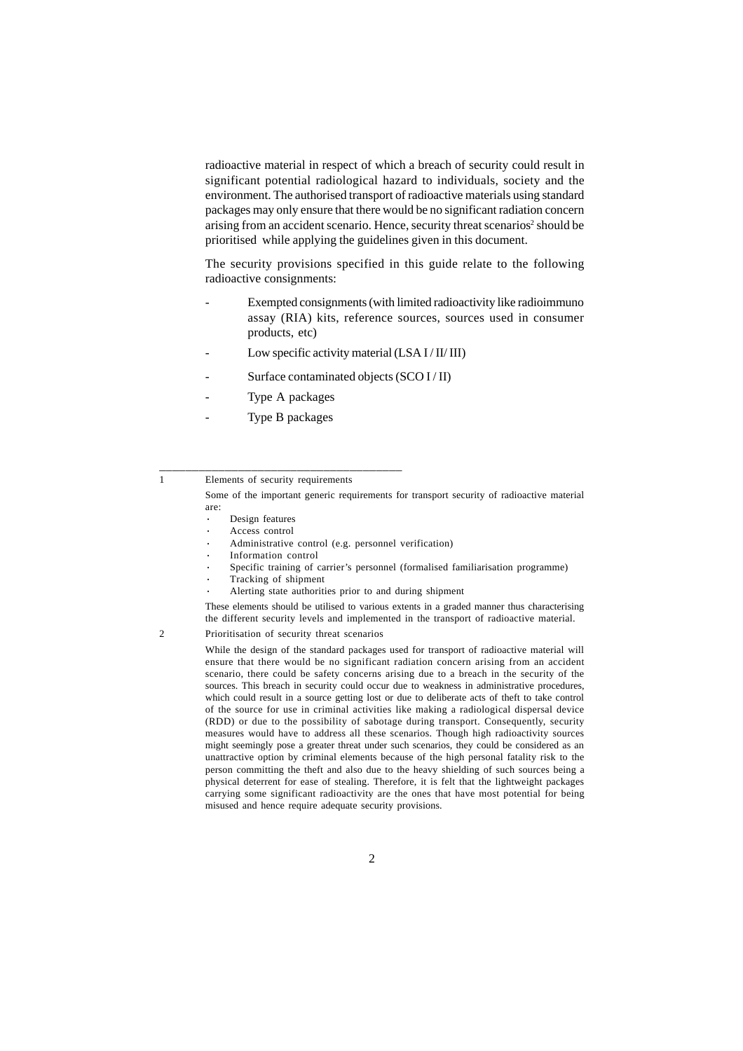radioactive material in respect of which a breach of security could result in significant potential radiological hazard to individuals, society and the environment. The authorised transport of radioactive materials using standard packages may only ensure that there would be no significant radiation concern arising from an accident scenario. Hence, security threat scenarios<sup>2</sup> should be prioritised while applying the guidelines given in this document.

The security provisions specified in this guide relate to the following radioactive consignments:

- Exempted consignments (with limited radioactivity like radioimmuno assay (RIA) kits, reference sources, sources used in consumer products, etc)
- Low specific activity material  $(LSA I / II / III)$
- Surface contaminated objects (SCO I/II)
- Type A packages
- Type B packages

\_\_\_\_\_\_\_\_\_\_\_\_\_\_\_\_\_\_\_\_\_\_\_\_\_\_\_\_\_\_\_\_\_\_\_\_\_

- Design features
- Access control
- Administrative control (e.g. personnel verification)
- · Information control
- Specific training of carrier's personnel (formalised familiarisation programme)
- · Tracking of shipment
- Alerting state authorities prior to and during shipment

These elements should be utilised to various extents in a graded manner thus characterising the different security levels and implemented in the transport of radioactive material.

#### 2 Prioritisation of security threat scenarios

While the design of the standard packages used for transport of radioactive material will ensure that there would be no significant radiation concern arising from an accident scenario, there could be safety concerns arising due to a breach in the security of the sources. This breach in security could occur due to weakness in administrative procedures, which could result in a source getting lost or due to deliberate acts of theft to take control of the source for use in criminal activities like making a radiological dispersal device (RDD) or due to the possibility of sabotage during transport. Consequently, security measures would have to address all these scenarios. Though high radioactivity sources might seemingly pose a greater threat under such scenarios, they could be considered as an unattractive option by criminal elements because of the high personal fatality risk to the person committing the theft and also due to the heavy shielding of such sources being a physical deterrent for ease of stealing. Therefore, it is felt that the lightweight packages carrying some significant radioactivity are the ones that have most potential for being misused and hence require adequate security provisions.

<sup>1</sup> Elements of security requirements

Some of the important generic requirements for transport security of radioactive material are: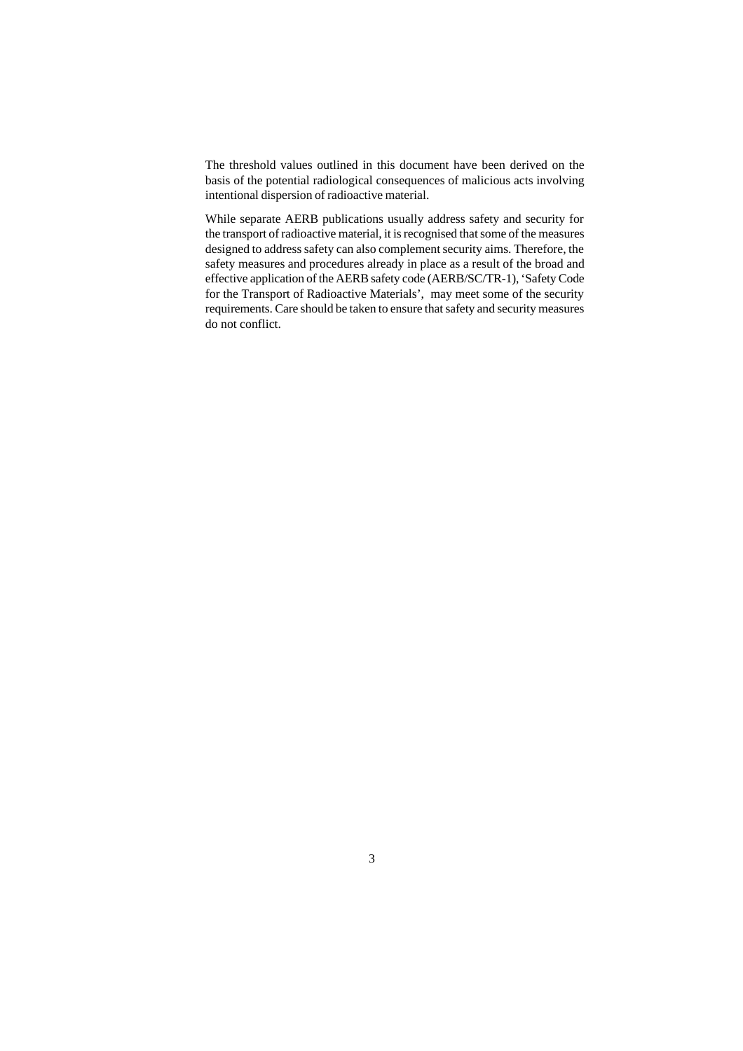The threshold values outlined in this document have been derived on the basis of the potential radiological consequences of malicious acts involving intentional dispersion of radioactive material.

While separate AERB publications usually address safety and security for the transport of radioactive material, it is recognised that some of the measures designed to address safety can also complement security aims. Therefore, the safety measures and procedures already in place as a result of the broad and effective application of the AERB safety code (AERB/SC/TR-1), 'Safety Code for the Transport of Radioactive Materials', may meet some of the security requirements. Care should be taken to ensure that safety and security measures do not conflict.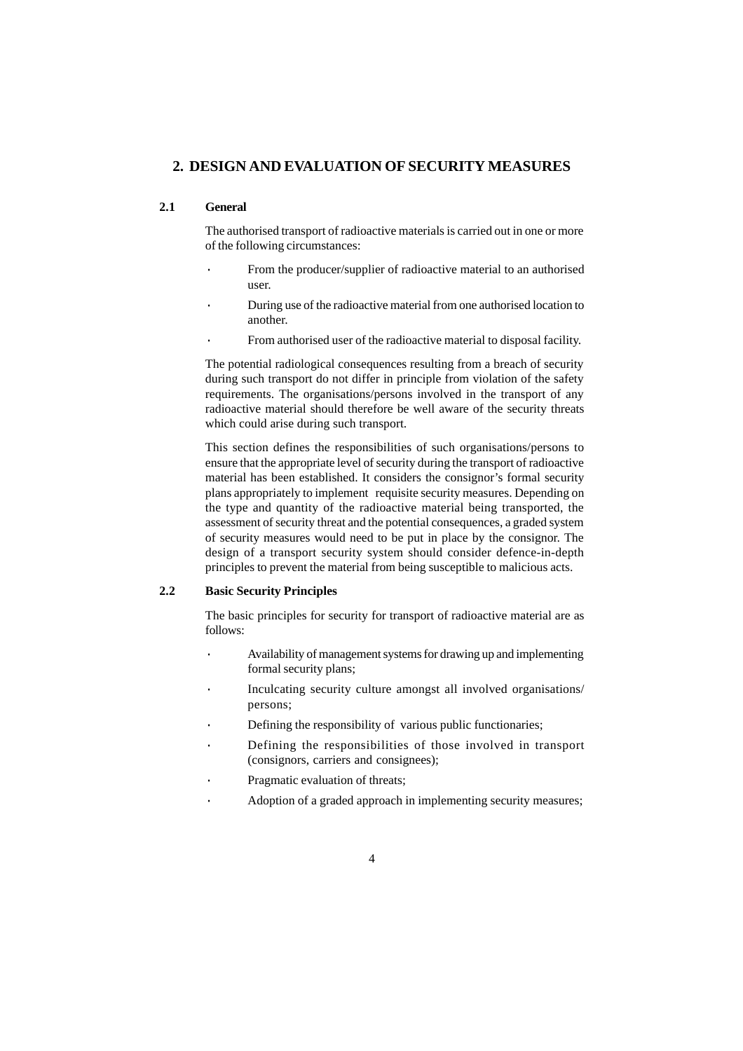### **2. DESIGN AND EVALUATION OF SECURITY MEASURES**

### **2.1 General**

The authorised transport of radioactive materials is carried out in one or more of the following circumstances:

- From the producer/supplier of radioactive material to an authorised user.
- · During use of the radioactive material from one authorised location to another.
- From authorised user of the radioactive material to disposal facility.

The potential radiological consequences resulting from a breach of security during such transport do not differ in principle from violation of the safety requirements. The organisations/persons involved in the transport of any radioactive material should therefore be well aware of the security threats which could arise during such transport.

This section defines the responsibilities of such organisations/persons to ensure that the appropriate level of security during the transport of radioactive material has been established. It considers the consignor's formal security plans appropriately to implement requisite security measures. Depending on the type and quantity of the radioactive material being transported, the assessment of security threat and the potential consequences, a graded system of security measures would need to be put in place by the consignor. The design of a transport security system should consider defence-in-depth principles to prevent the material from being susceptible to malicious acts.

### **2.2 Basic Security Principles**

The basic principles for security for transport of radioactive material are as follows:

- Availability of management systems for drawing up and implementing formal security plans;
- Inculcating security culture amongst all involved organisations/ persons;
- Defining the responsibility of various public functionaries;
- Defining the responsibilities of those involved in transport (consignors, carriers and consignees);
- Pragmatic evaluation of threats;
- Adoption of a graded approach in implementing security measures;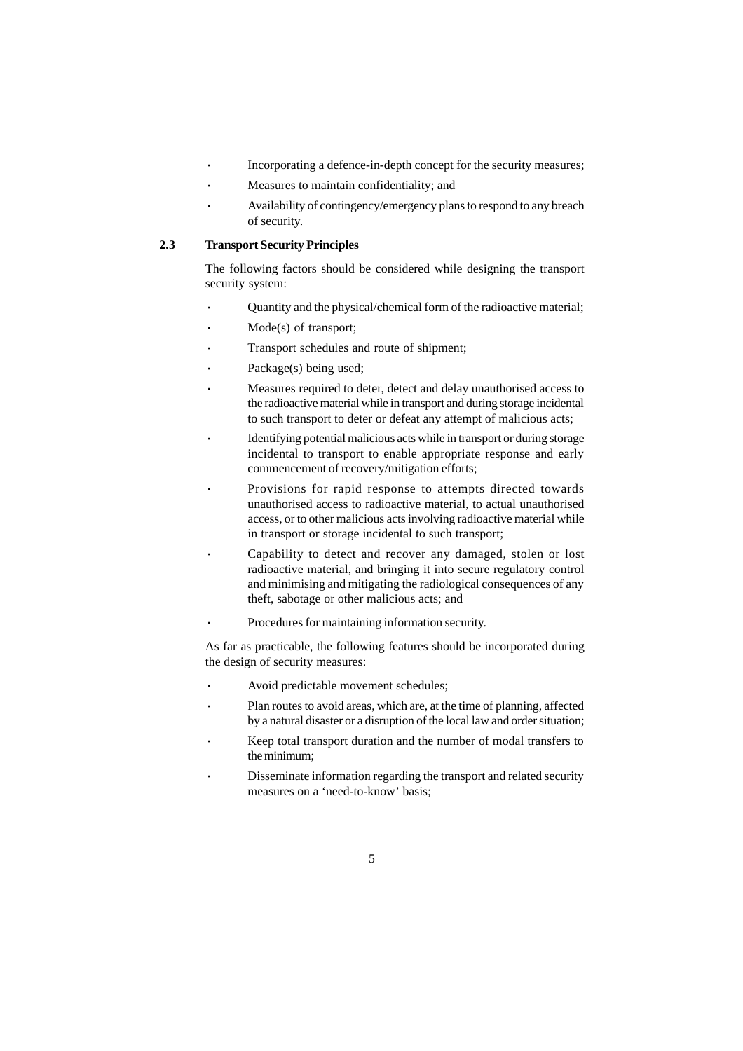- Incorporating a defence-in-depth concept for the security measures;
- · Measures to maintain confidentiality; and
- · Availability of contingency/emergency plans to respond to any breach of security.

### **2.3 Transport Security Principles**

The following factors should be considered while designing the transport security system:

- Quantity and the physical/chemical form of the radioactive material;
- Mode(s) of transport:
- Transport schedules and route of shipment;
- Package(s) being used;
- · Measures required to deter, detect and delay unauthorised access to the radioactive material while in transport and during storage incidental to such transport to deter or defeat any attempt of malicious acts;
- Identifying potential malicious acts while in transport or during storage incidental to transport to enable appropriate response and early commencement of recovery/mitigation efforts;
- Provisions for rapid response to attempts directed towards unauthorised access to radioactive material, to actual unauthorised access, or to other malicious acts involving radioactive material while in transport or storage incidental to such transport;
- Capability to detect and recover any damaged, stolen or lost radioactive material, and bringing it into secure regulatory control and minimising and mitigating the radiological consequences of any theft, sabotage or other malicious acts; and
- Procedures for maintaining information security.

As far as practicable, the following features should be incorporated during the design of security measures:

- Avoid predictable movement schedules;
- Plan routes to avoid areas, which are, at the time of planning, affected by a natural disaster or a disruption of the local law and order situation;
- Keep total transport duration and the number of modal transfers to the minimum;
- Disseminate information regarding the transport and related security measures on a 'need-to-know' basis;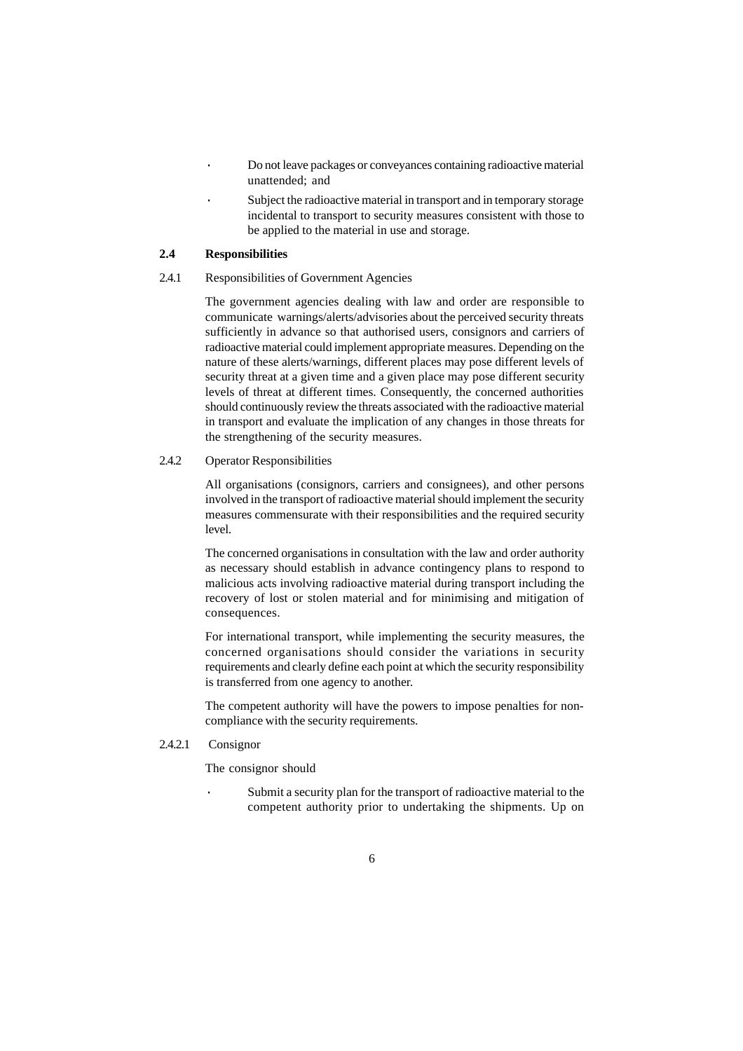- · Do not leave packages or conveyances containing radioactive material unattended; and
- Subject the radioactive material in transport and in temporary storage incidental to transport to security measures consistent with those to be applied to the material in use and storage.

### **2.4 Responsibilities**

### 2.4.1 Responsibilities of Government Agencies

The government agencies dealing with law and order are responsible to communicate warnings/alerts/advisories about the perceived security threats sufficiently in advance so that authorised users, consignors and carriers of radioactive material could implement appropriate measures. Depending on the nature of these alerts/warnings, different places may pose different levels of security threat at a given time and a given place may pose different security levels of threat at different times. Consequently, the concerned authorities should continuously review the threats associated with the radioactive material in transport and evaluate the implication of any changes in those threats for the strengthening of the security measures.

### 2.4.2 Operator Responsibilities

All organisations (consignors, carriers and consignees), and other persons involved in the transport of radioactive material should implement the security measures commensurate with their responsibilities and the required security level.

The concerned organisations in consultation with the law and order authority as necessary should establish in advance contingency plans to respond to malicious acts involving radioactive material during transport including the recovery of lost or stolen material and for minimising and mitigation of consequences.

For international transport, while implementing the security measures, the concerned organisations should consider the variations in security requirements and clearly define each point at which the security responsibility is transferred from one agency to another.

The competent authority will have the powers to impose penalties for noncompliance with the security requirements.

2.4.2.1 Consignor

The consignor should

Submit a security plan for the transport of radioactive material to the competent authority prior to undertaking the shipments. Up on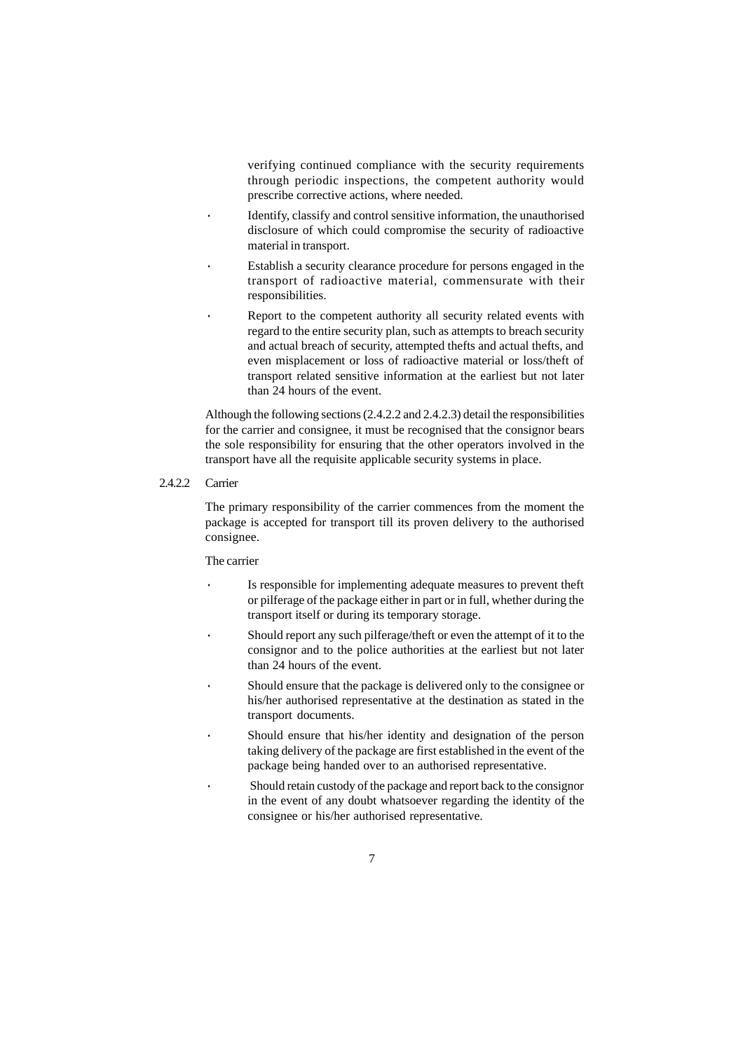verifying continued compliance with the security requirements through periodic inspections, the competent authority would prescribe corrective actions, where needed.

- · Identify, classify and control sensitive information, the unauthorised disclosure of which could compromise the security of radioactive material in transport.
- Establish a security clearance procedure for persons engaged in the transport of radioactive material, commensurate with their responsibilities.
- Report to the competent authority all security related events with regard to the entire security plan, such as attempts to breach security and actual breach of security, attempted thefts and actual thefts, and even misplacement or loss of radioactive material or loss/theft of transport related sensitive information at the earliest but not later than 24 hours of the event.

Although the following sections (2.4.2.2 and 2.4.2.3) detail the responsibilities for the carrier and consignee, it must be recognised that the consignor bears the sole responsibility for ensuring that the other operators involved in the transport have all the requisite applicable security systems in place.

#### 2.4.2.2 Carrier

The primary responsibility of the carrier commences from the moment the package is accepted for transport till its proven delivery to the authorised consignee.

#### The carrier

- Is responsible for implementing adequate measures to prevent theft or pilferage of the package either in part or in full, whether during the transport itself or during its temporary storage.
- Should report any such pilferage/theft or even the attempt of it to the consignor and to the police authorities at the earliest but not later than 24 hours of the event.
- Should ensure that the package is delivered only to the consignee or his/her authorised representative at the destination as stated in the transport documents.
- Should ensure that his/her identity and designation of the person taking delivery of the package are first established in the event of the package being handed over to an authorised representative.
- · Should retain custody of the package and report back to the consignor in the event of any doubt whatsoever regarding the identity of the consignee or his/her authorised representative.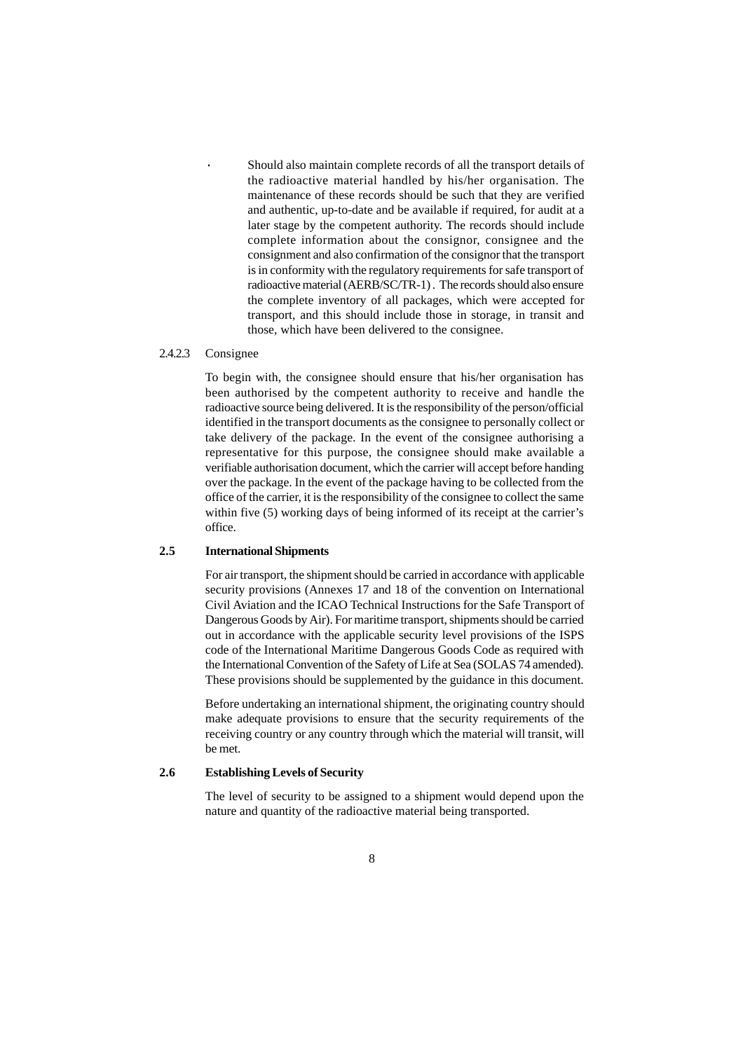Should also maintain complete records of all the transport details of the radioactive material handled by his/her organisation. The maintenance of these records should be such that they are verified and authentic, up-to-date and be available if required, for audit at a later stage by the competent authority. The records should include complete information about the consignor, consignee and the consignment and also confirmation of the consignor that the transport is in conformity with the regulatory requirements for safe transport of radioactive material (AERB/SC/TR-1) . The records should also ensure the complete inventory of all packages, which were accepted for transport, and this should include those in storage, in transit and those, which have been delivered to the consignee.

#### 2.4.2.3 Consignee

To begin with, the consignee should ensure that his/her organisation has been authorised by the competent authority to receive and handle the radioactive source being delivered. It is the responsibility of the person/official identified in the transport documents as the consignee to personally collect or take delivery of the package. In the event of the consignee authorising a representative for this purpose, the consignee should make available a verifiable authorisation document, which the carrier will accept before handing over the package. In the event of the package having to be collected from the office of the carrier, it is the responsibility of the consignee to collect the same within five (5) working days of being informed of its receipt at the carrier's office.

#### **2.5 International Shipments**

For air transport, the shipment should be carried in accordance with applicable security provisions (Annexes 17 and 18 of the convention on International Civil Aviation and the ICAO Technical Instructions for the Safe Transport of Dangerous Goods by Air). For maritime transport, shipments should be carried out in accordance with the applicable security level provisions of the ISPS code of the International Maritime Dangerous Goods Code as required with the International Convention of the Safety of Life at Sea (SOLAS 74 amended). These provisions should be supplemented by the guidance in this document.

Before undertaking an international shipment, the originating country should make adequate provisions to ensure that the security requirements of the receiving country or any country through which the material will transit, will be met.

### **2.6 Establishing Levels of Security**

The level of security to be assigned to a shipment would depend upon the nature and quantity of the radioactive material being transported.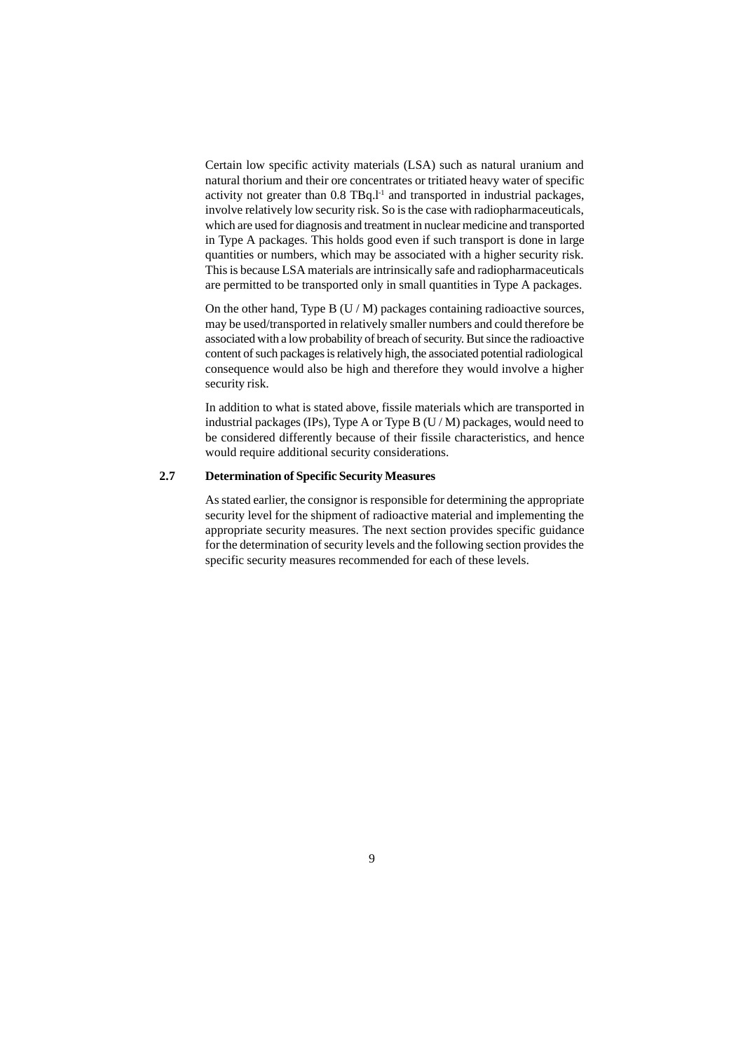Certain low specific activity materials (LSA) such as natural uranium and natural thorium and their ore concentrates or tritiated heavy water of specific activity not greater than 0.8 TBq.<sup>1-1</sup> and transported in industrial packages, involve relatively low security risk. So is the case with radiopharmaceuticals, which are used for diagnosis and treatment in nuclear medicine and transported in Type A packages. This holds good even if such transport is done in large quantities or numbers, which may be associated with a higher security risk. This is because LSA materials are intrinsically safe and radiopharmaceuticals are permitted to be transported only in small quantities in Type A packages.

On the other hand, Type B  $(U/M)$  packages containing radioactive sources, may be used/transported in relatively smaller numbers and could therefore be associated with a low probability of breach of security. But since the radioactive content of such packages is relatively high, the associated potential radiological consequence would also be high and therefore they would involve a higher security risk.

In addition to what is stated above, fissile materials which are transported in industrial packages (IPs), Type A or Type B  $(U/M)$  packages, would need to be considered differently because of their fissile characteristics, and hence would require additional security considerations.

### **2.7 Determination of Specific Security Measures**

As stated earlier, the consignor is responsible for determining the appropriate security level for the shipment of radioactive material and implementing the appropriate security measures. The next section provides specific guidance for the determination of security levels and the following section provides the specific security measures recommended for each of these levels.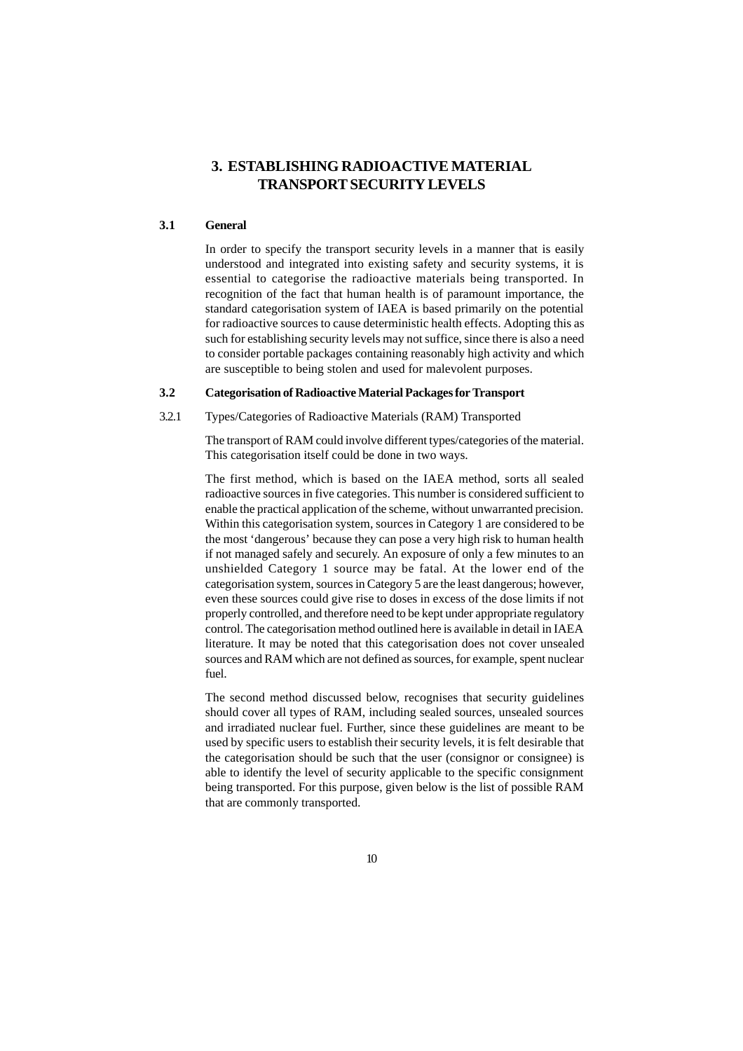### **3. ESTABLISHING RADIOACTIVE MATERIAL TRANSPORT SECURITY LEVELS**

### **3.1 General**

In order to specify the transport security levels in a manner that is easily understood and integrated into existing safety and security systems, it is essential to categorise the radioactive materials being transported. In recognition of the fact that human health is of paramount importance, the standard categorisation system of IAEA is based primarily on the potential for radioactive sources to cause deterministic health effects. Adopting this as such for establishing security levels may not suffice, since there is also a need to consider portable packages containing reasonably high activity and which are susceptible to being stolen and used for malevolent purposes.

### **3.2 Categorisation of Radioactive Material Packages for Transport**

### 3.2.1 Types/Categories of Radioactive Materials (RAM) Transported

The transport of RAM could involve different types/categories of the material. This categorisation itself could be done in two ways.

The first method, which is based on the IAEA method, sorts all sealed radioactive sources in five categories. This number is considered sufficient to enable the practical application of the scheme, without unwarranted precision. Within this categorisation system, sources in Category 1 are considered to be the most 'dangerous' because they can pose a very high risk to human health if not managed safely and securely. An exposure of only a few minutes to an unshielded Category 1 source may be fatal. At the lower end of the categorisation system, sources in Category 5 are the least dangerous; however, even these sources could give rise to doses in excess of the dose limits if not properly controlled, and therefore need to be kept under appropriate regulatory control. The categorisation method outlined here is available in detail in IAEA literature. It may be noted that this categorisation does not cover unsealed sources and RAM which are not defined as sources, for example, spent nuclear fuel.

The second method discussed below, recognises that security guidelines should cover all types of RAM, including sealed sources, unsealed sources and irradiated nuclear fuel. Further, since these guidelines are meant to be used by specific users to establish their security levels, it is felt desirable that the categorisation should be such that the user (consignor or consignee) is able to identify the level of security applicable to the specific consignment being transported. For this purpose, given below is the list of possible RAM that are commonly transported.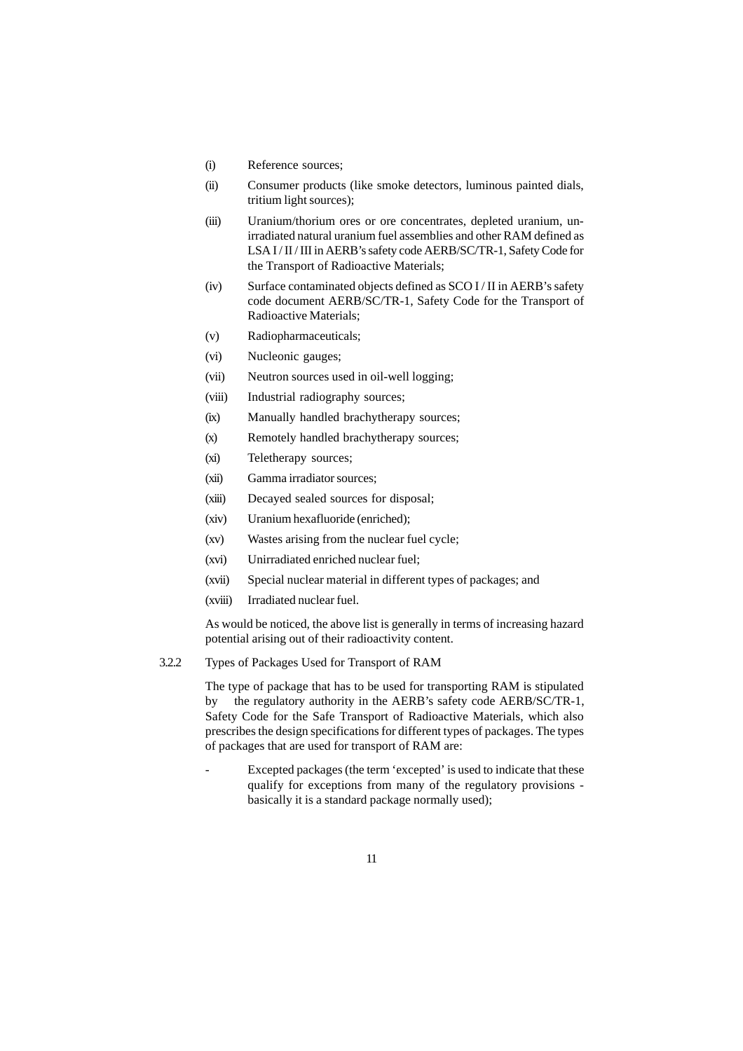- (i) Reference sources;
- (ii) Consumer products (like smoke detectors, luminous painted dials, tritium light sources);
- (iii) Uranium/thorium ores or ore concentrates, depleted uranium, unirradiated natural uranium fuel assemblies and other RAM defined as LSA I/II/III in AERB's safety code AERB/SC/TR-1, Safety Code for the Transport of Radioactive Materials;
- (iv) Surface contaminated objects defined as SCO I / II in AERB's safety code document AERB/SC/TR-1, Safety Code for the Transport of Radioactive Materials;
- (v) Radiopharmaceuticals;
- (vi) Nucleonic gauges;
- (vii) Neutron sources used in oil-well logging;
- (viii) Industrial radiography sources;
- (ix) Manually handled brachytherapy sources;
- (x) Remotely handled brachytherapy sources;
- (xi) Teletherapy sources;
- (xii) Gamma irradiator sources;
- (xiii) Decayed sealed sources for disposal;
- (xiv) Uranium hexafluoride (enriched);
- (xv) Wastes arising from the nuclear fuel cycle;
- (xvi) Unirradiated enriched nuclear fuel;
- (xvii) Special nuclear material in different types of packages; and
- (xviii) Irradiated nuclear fuel.

As would be noticed, the above list is generally in terms of increasing hazard potential arising out of their radioactivity content.

3.2.2 Types of Packages Used for Transport of RAM

The type of package that has to be used for transporting RAM is stipulated by the regulatory authority in the AERB's safety code AERB/SC/TR-1, Safety Code for the Safe Transport of Radioactive Materials, which also prescribes the design specifications for different types of packages. The types of packages that are used for transport of RAM are:

Excepted packages (the term 'excepted' is used to indicate that these qualify for exceptions from many of the regulatory provisions basically it is a standard package normally used);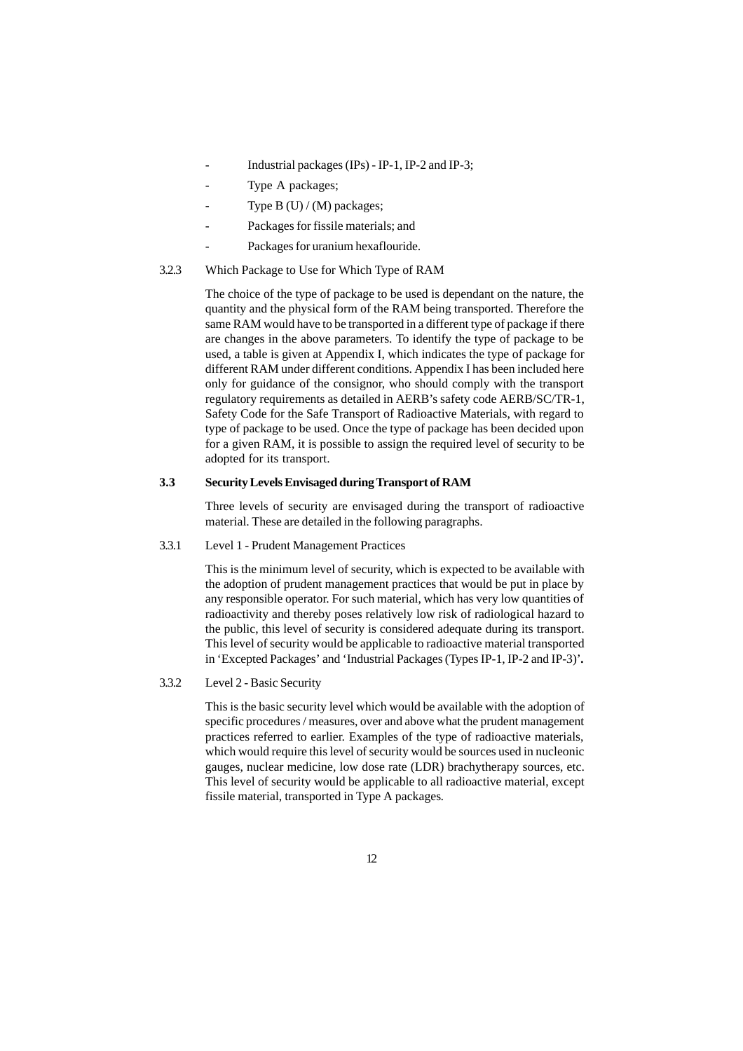- Industrial packages (IPs) IP-1, IP-2 and IP-3;
- Type A packages;
- Type B  $(U) / (M)$  packages;
- Packages for fissile materials; and
- Packages for uranium hexaflouride.
- 3.2.3 Which Package to Use for Which Type of RAM

The choice of the type of package to be used is dependant on the nature, the quantity and the physical form of the RAM being transported. Therefore the same RAM would have to be transported in a different type of package if there are changes in the above parameters. To identify the type of package to be used, a table is given at Appendix I, which indicates the type of package for different RAM under different conditions. Appendix I has been included here only for guidance of the consignor, who should comply with the transport regulatory requirements as detailed in AERB's safety code AERB/SC/TR-1, Safety Code for the Safe Transport of Radioactive Materials, with regard to type of package to be used. Once the type of package has been decided upon for a given RAM, it is possible to assign the required level of security to be adopted for its transport.

#### **3.3 Security Levels Envisaged during Transport of RAM**

Three levels of security are envisaged during the transport of radioactive material. These are detailed in the following paragraphs.

3.3.1 Level 1 - Prudent Management Practices

This is the minimum level of security, which is expected to be available with the adoption of prudent management practices that would be put in place by any responsible operator. For such material, which has very low quantities of radioactivity and thereby poses relatively low risk of radiological hazard to the public, this level of security is considered adequate during its transport. This level of security would be applicable to radioactive material transported in 'Excepted Packages' and 'Industrial Packages (Types IP-1, IP-2 and IP-3)'*.*

3.3.2 Level 2 - Basic Security

This is the basic security level which would be available with the adoption of specific procedures / measures, over and above what the prudent management practices referred to earlier. Examples of the type of radioactive materials, which would require this level of security would be sources used in nucleonic gauges, nuclear medicine, low dose rate (LDR) brachytherapy sources, etc. This level of security would be applicable to all radioactive material, except fissile material, transported in Type A packages*.*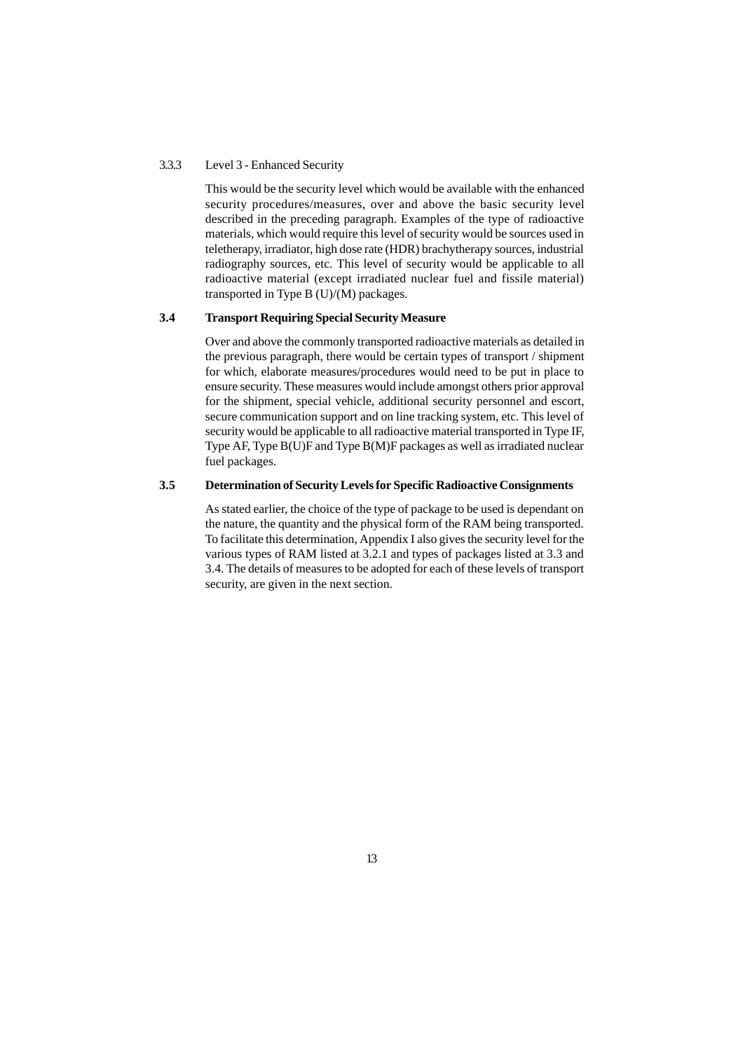#### 3.3.3 Level 3 - Enhanced Security

This would be the security level which would be available with the enhanced security procedures/measures, over and above the basic security level described in the preceding paragraph. Examples of the type of radioactive materials, which would require this level of security would be sources used in teletherapy, irradiator, high dose rate (HDR) brachytherapy sources, industrial radiography sources, etc. This level of security would be applicable to all radioactive material (except irradiated nuclear fuel and fissile material) transported in Type B (U)/(M) packages.

#### **3.4 Transport Requiring Special Security Measure**

Over and above the commonly transported radioactive materials as detailed in the previous paragraph, there would be certain types of transport / shipment for which, elaborate measures/procedures would need to be put in place to ensure security. These measures would include amongst others prior approval for the shipment, special vehicle, additional security personnel and escort, secure communication support and on line tracking system, etc. This level of security would be applicable to all radioactive material transported in Type IF. Type AF, Type B(U)F and Type B(M)F packages as well as irradiated nuclear fuel packages.

### **3.5 Determination of Security Levels for Specific Radioactive Consignments**

As stated earlier, the choice of the type of package to be used is dependant on the nature, the quantity and the physical form of the RAM being transported. To facilitate this determination, Appendix I also gives the security level for the various types of RAM listed at 3.2.1 and types of packages listed at 3.3 and 3.4. The details of measures to be adopted for each of these levels of transport security, are given in the next section.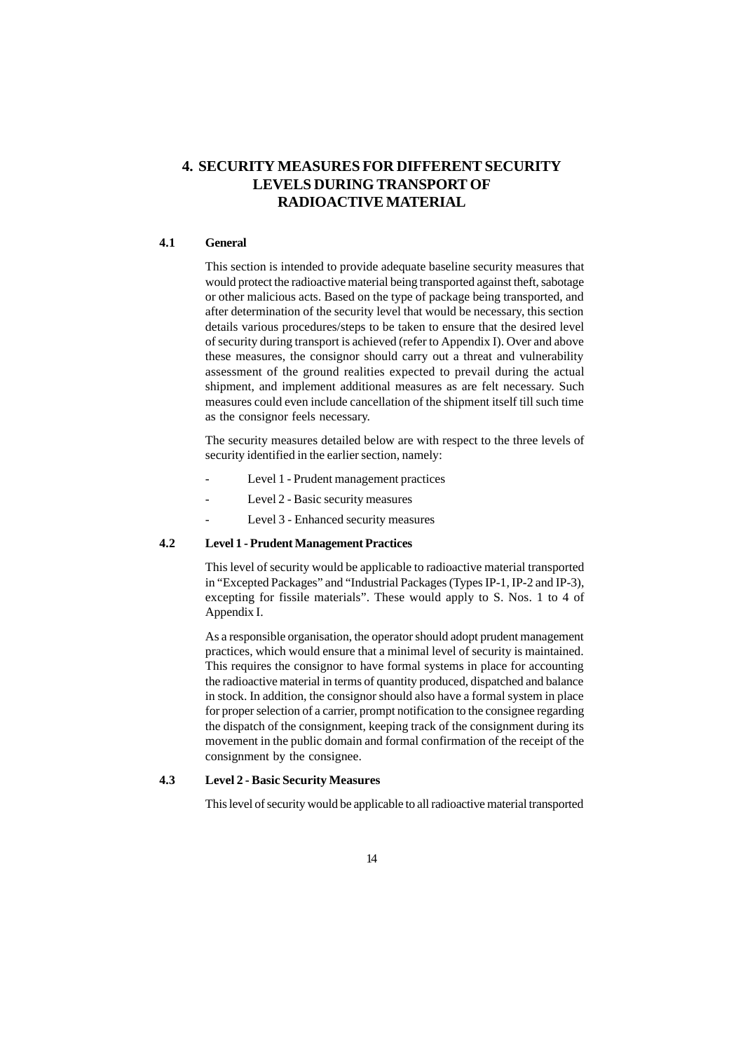# **4. SECURITY MEASURES FOR DIFFERENT SECURITY LEVELS DURING TRANSPORT OF RADIOACTIVE MATERIAL**

### **4.1 General**

This section is intended to provide adequate baseline security measures that would protect the radioactive material being transported against theft, sabotage or other malicious acts. Based on the type of package being transported, and after determination of the security level that would be necessary, this section details various procedures/steps to be taken to ensure that the desired level of security during transport is achieved (refer to Appendix I). Over and above these measures, the consignor should carry out a threat and vulnerability assessment of the ground realities expected to prevail during the actual shipment, and implement additional measures as are felt necessary. Such measures could even include cancellation of the shipment itself till such time as the consignor feels necessary.

The security measures detailed below are with respect to the three levels of security identified in the earlier section, namely:

- Level 1 Prudent management practices
- Level 2 Basic security measures
- Level 3 Enhanced security measures

### **4.2 Level 1 - Prudent Management Practices**

This level of security would be applicable to radioactive material transported in "Excepted Packages" and "Industrial Packages (Types IP-1, IP-2 and IP-3), excepting for fissile materials". These would apply to S. Nos. 1 to 4 of Appendix I.

As a responsible organisation, the operator should adopt prudent management practices, which would ensure that a minimal level of security is maintained. This requires the consignor to have formal systems in place for accounting the radioactive material in terms of quantity produced, dispatched and balance in stock. In addition, the consignor should also have a formal system in place for proper selection of a carrier, prompt notification to the consignee regarding the dispatch of the consignment, keeping track of the consignment during its movement in the public domain and formal confirmation of the receipt of the consignment by the consignee.

#### **4.3 Level 2 - Basic Security Measures**

This level of security would be applicable to all radioactive material transported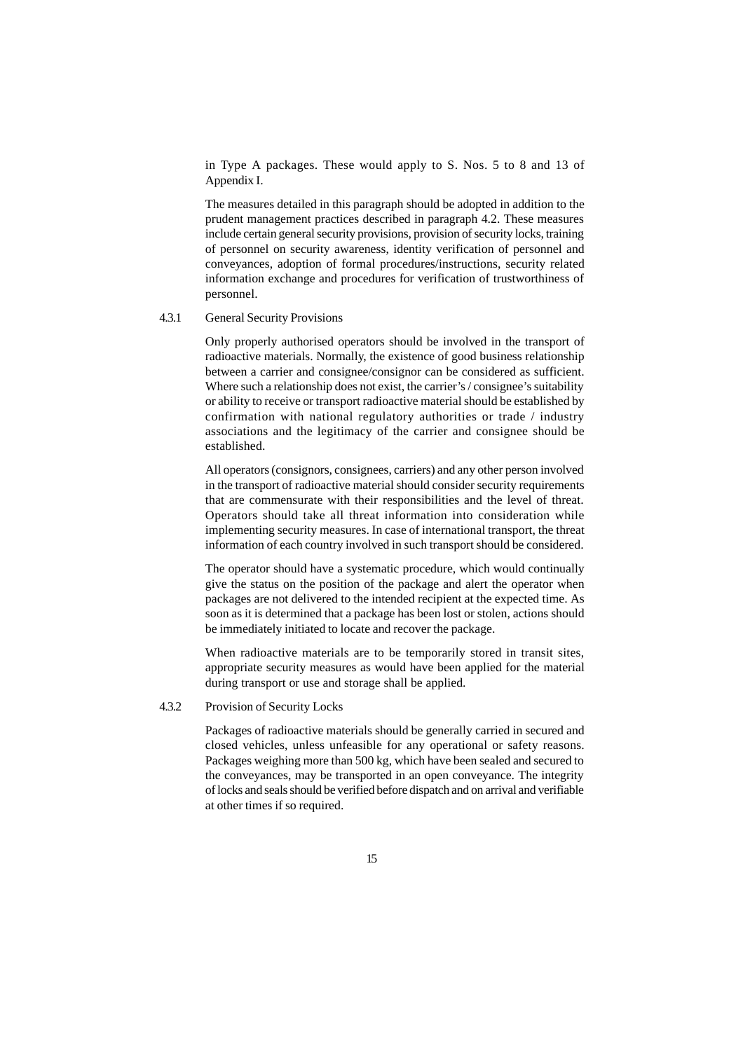in Type A packages. These would apply to S. Nos. 5 to 8 and 13 of Appendix I.

The measures detailed in this paragraph should be adopted in addition to the prudent management practices described in paragraph 4.2. These measures include certain general security provisions, provision of security locks, training of personnel on security awareness, identity verification of personnel and conveyances, adoption of formal procedures/instructions, security related information exchange and procedures for verification of trustworthiness of personnel.

#### 4.3.1 General Security Provisions

Only properly authorised operators should be involved in the transport of radioactive materials. Normally, the existence of good business relationship between a carrier and consignee/consignor can be considered as sufficient. Where such a relationship does not exist, the carrier's / consignee's suitability or ability to receive or transport radioactive material should be established by confirmation with national regulatory authorities or trade / industry associations and the legitimacy of the carrier and consignee should be established.

All operators (consignors, consignees, carriers) and any other person involved in the transport of radioactive material should consider security requirements that are commensurate with their responsibilities and the level of threat. Operators should take all threat information into consideration while implementing security measures. In case of international transport, the threat information of each country involved in such transport should be considered.

The operator should have a systematic procedure, which would continually give the status on the position of the package and alert the operator when packages are not delivered to the intended recipient at the expected time. As soon as it is determined that a package has been lost or stolen, actions should be immediately initiated to locate and recover the package.

When radioactive materials are to be temporarily stored in transit sites, appropriate security measures as would have been applied for the material during transport or use and storage shall be applied.

### 4.3.2 Provision of Security Locks

Packages of radioactive materials should be generally carried in secured and closed vehicles, unless unfeasible for any operational or safety reasons. Packages weighing more than 500 kg, which have been sealed and secured to the conveyances, may be transported in an open conveyance. The integrity of locks and seals should be verified before dispatch and on arrival and verifiable at other times if so required.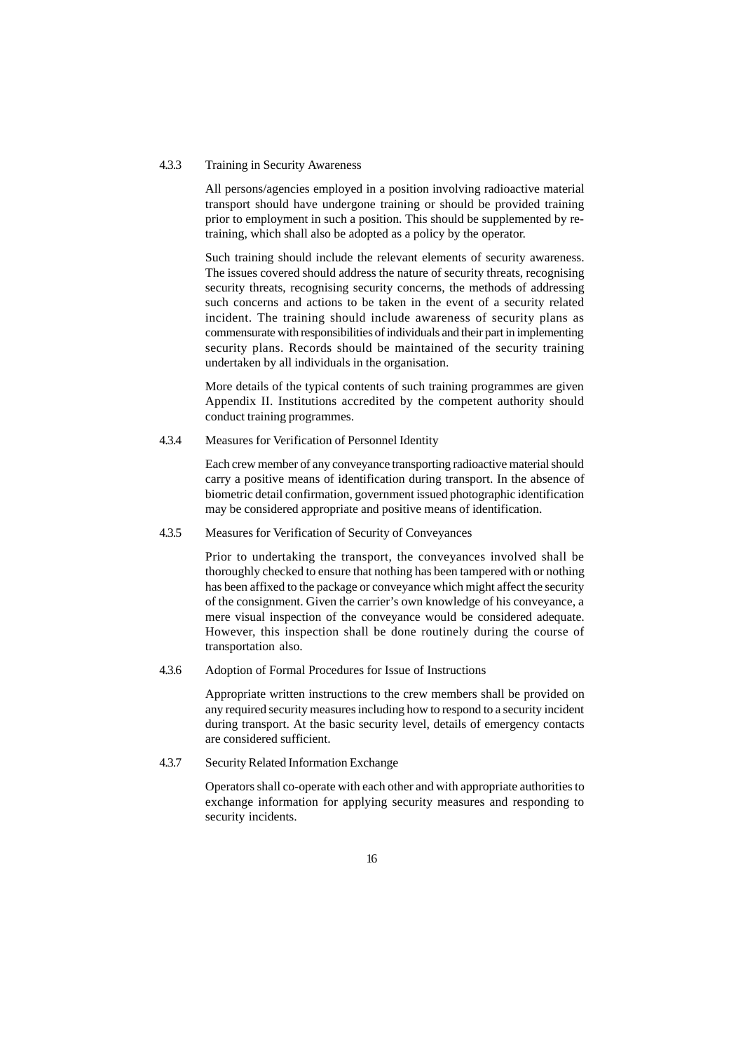#### 4.3.3 Training in Security Awareness

All persons/agencies employed in a position involving radioactive material transport should have undergone training or should be provided training prior to employment in such a position. This should be supplemented by retraining, which shall also be adopted as a policy by the operator.

Such training should include the relevant elements of security awareness. The issues covered should address the nature of security threats, recognising security threats, recognising security concerns, the methods of addressing such concerns and actions to be taken in the event of a security related incident. The training should include awareness of security plans as commensurate with responsibilities of individuals and their part in implementing security plans. Records should be maintained of the security training undertaken by all individuals in the organisation.

More details of the typical contents of such training programmes are given Appendix II. Institutions accredited by the competent authority should conduct training programmes.

4.3.4 Measures for Verification of Personnel Identity

Each crew member of any conveyance transporting radioactive material should carry a positive means of identification during transport. In the absence of biometric detail confirmation, government issued photographic identification may be considered appropriate and positive means of identification.

### 4.3.5 Measures for Verification of Security of Conveyances

Prior to undertaking the transport, the conveyances involved shall be thoroughly checked to ensure that nothing has been tampered with or nothing has been affixed to the package or conveyance which might affect the security of the consignment. Given the carrier's own knowledge of his conveyance, a mere visual inspection of the conveyance would be considered adequate. However, this inspection shall be done routinely during the course of transportation also.

4.3.6 Adoption of Formal Procedures for Issue of Instructions

Appropriate written instructions to the crew members shall be provided on any required security measures including how to respond to a security incident during transport. At the basic security level, details of emergency contacts are considered sufficient.

4.3.7 Security Related Information Exchange

Operators shall co-operate with each other and with appropriate authorities to exchange information for applying security measures and responding to security incidents.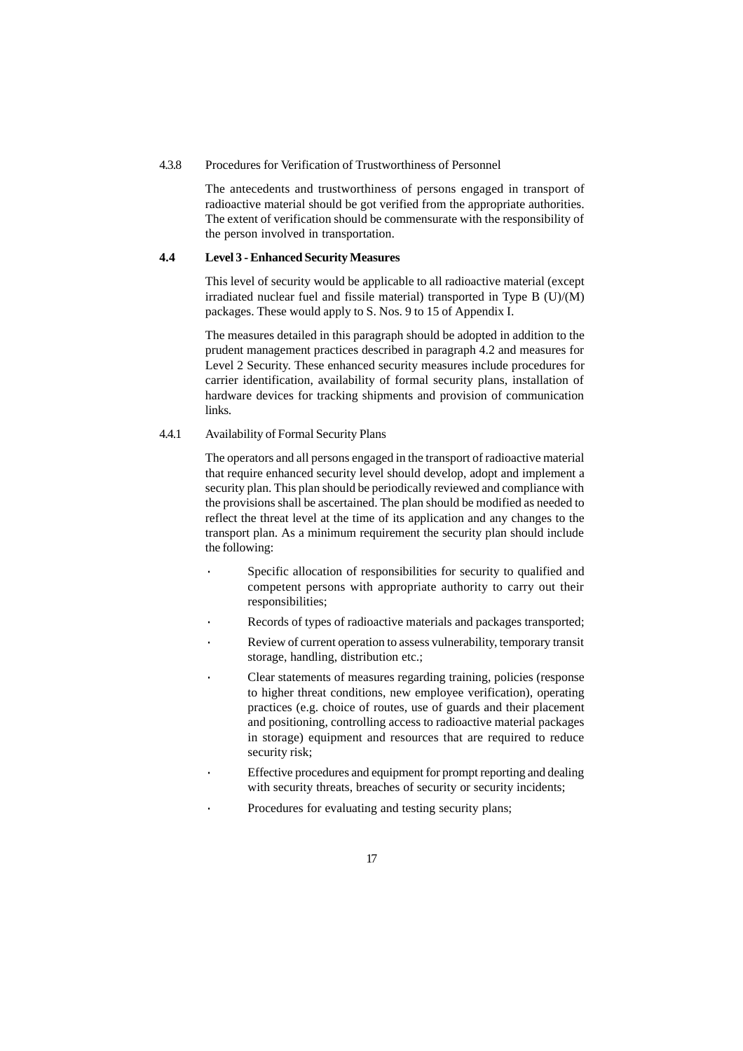#### 4.3.8 Procedures for Verification of Trustworthiness of Personnel

The antecedents and trustworthiness of persons engaged in transport of radioactive material should be got verified from the appropriate authorities. The extent of verification should be commensurate with the responsibility of the person involved in transportation.

### **4.4 Level 3 - Enhanced Security Measures**

This level of security would be applicable to all radioactive material (except irradiated nuclear fuel and fissile material) transported in Type  $B(U)/(M)$ packages. These would apply to S. Nos. 9 to 15 of Appendix I.

The measures detailed in this paragraph should be adopted in addition to the prudent management practices described in paragraph 4.2 and measures for Level 2 Security. These enhanced security measures include procedures for carrier identification, availability of formal security plans, installation of hardware devices for tracking shipments and provision of communication links.

#### 4.4.1 Availability of Formal Security Plans

The operators and all persons engaged in the transport of radioactive material that require enhanced security level should develop, adopt and implement a security plan. This plan should be periodically reviewed and compliance with the provisions shall be ascertained. The plan should be modified as needed to reflect the threat level at the time of its application and any changes to the transport plan. As a minimum requirement the security plan should include the following:

- Specific allocation of responsibilities for security to qualified and competent persons with appropriate authority to carry out their responsibilities;
- Records of types of radioactive materials and packages transported;
- Review of current operation to assess vulnerability, temporary transit storage, handling, distribution etc.;
- Clear statements of measures regarding training, policies (response to higher threat conditions, new employee verification), operating practices (e.g. choice of routes, use of guards and their placement and positioning, controlling access to radioactive material packages in storage) equipment and resources that are required to reduce security risk;
- Effective procedures and equipment for prompt reporting and dealing with security threats, breaches of security or security incidents;
- Procedures for evaluating and testing security plans;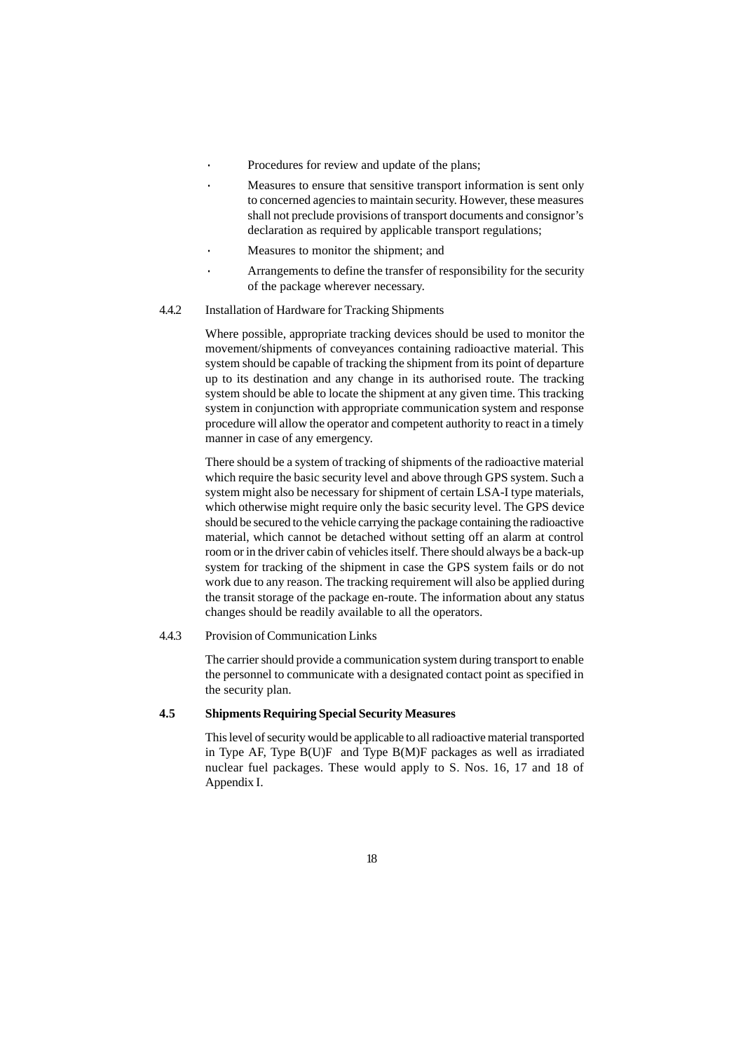- Procedures for review and update of the plans;
- Measures to ensure that sensitive transport information is sent only to concerned agencies to maintain security. However, these measures shall not preclude provisions of transport documents and consignor's declaration as required by applicable transport regulations;
- Measures to monitor the shipment; and
- Arrangements to define the transfer of responsibility for the security of the package wherever necessary.
- 4.4.2 Installation of Hardware for Tracking Shipments

Where possible, appropriate tracking devices should be used to monitor the movement/shipments of conveyances containing radioactive material. This system should be capable of tracking the shipment from its point of departure up to its destination and any change in its authorised route. The tracking system should be able to locate the shipment at any given time. This tracking system in conjunction with appropriate communication system and response procedure will allow the operator and competent authority to react in a timely manner in case of any emergency.

There should be a system of tracking of shipments of the radioactive material which require the basic security level and above through GPS system. Such a system might also be necessary for shipment of certain LSA-I type materials, which otherwise might require only the basic security level. The GPS device should be secured to the vehicle carrying the package containing the radioactive material, which cannot be detached without setting off an alarm at control room or in the driver cabin of vehicles itself. There should always be a back-up system for tracking of the shipment in case the GPS system fails or do not work due to any reason. The tracking requirement will also be applied during the transit storage of the package en-route. The information about any status changes should be readily available to all the operators.

4.4.3 Provision of Communication Links

The carrier should provide a communication system during transport to enable the personnel to communicate with a designated contact point as specified in the security plan.

#### **4.5 Shipments Requiring Special Security Measures**

This level of security would be applicable to all radioactive material transported in Type AF, Type  $B(U)F$  and Type  $B(M)F$  packages as well as irradiated nuclear fuel packages. These would apply to S. Nos. 16, 17 and 18 of Appendix I.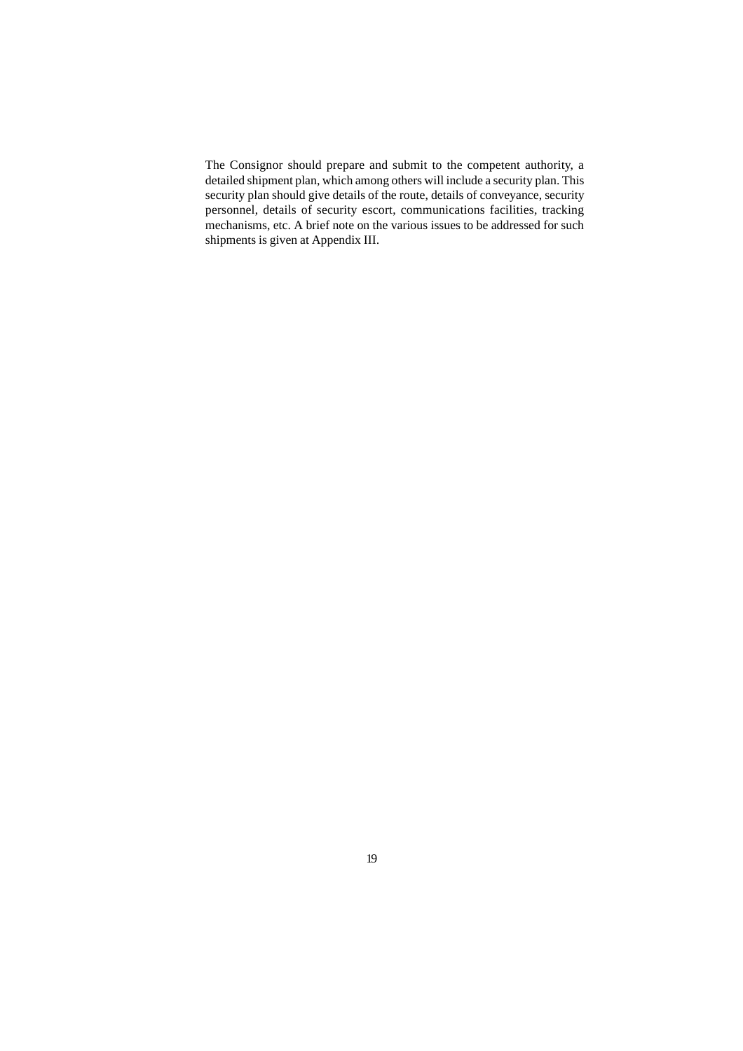The Consignor should prepare and submit to the competent authority, a detailed shipment plan, which among others will include a security plan. This security plan should give details of the route, details of conveyance, security personnel, details of security escort, communications facilities, tracking mechanisms, etc. A brief note on the various issues to be addressed for such shipments is given at Appendix III.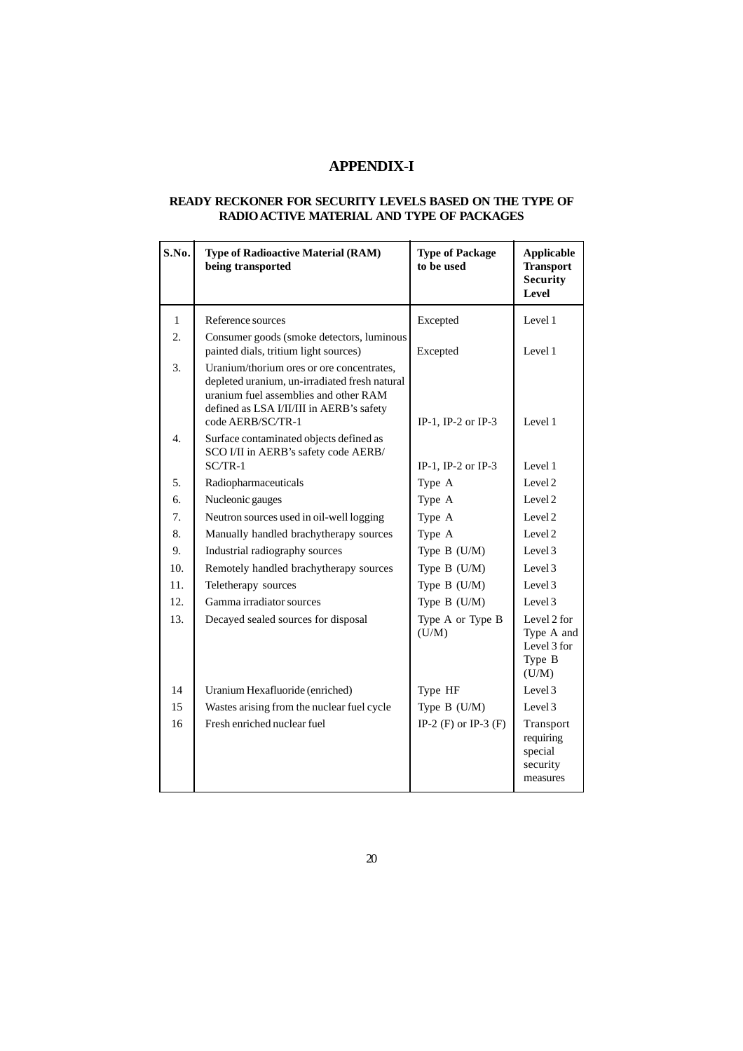## **APPENDIX-I**

### **READY RECKONER FOR SECURITY LEVELS BASED ON THE TYPE OF RADIO ACTIVE MATERIAL AND TYPE OF PACKAGES**

| S.No.            | <b>Type of Radioactive Material (RAM)</b><br>being transported                                                                                                                                       | <b>Type of Package</b><br>to be used | <b>Applicable</b><br><b>Transport</b><br><b>Security</b><br>Level |
|------------------|------------------------------------------------------------------------------------------------------------------------------------------------------------------------------------------------------|--------------------------------------|-------------------------------------------------------------------|
| $\mathbf{1}$     | Reference sources                                                                                                                                                                                    | Excepted                             | Level 1                                                           |
| 2.               | Consumer goods (smoke detectors, luminous<br>painted dials, tritium light sources)                                                                                                                   | Excepted                             | Level 1                                                           |
| 3.               | Uranium/thorium ores or ore concentrates,<br>depleted uranium, un-irradiated fresh natural<br>uranium fuel assemblies and other RAM<br>defined as LSA I/II/III in AERB's safety<br>code AERB/SC/TR-1 | IP-1, IP-2 or IP-3                   | Level 1                                                           |
| $\overline{4}$ . | Surface contaminated objects defined as<br>SCO I/II in AERB's safety code AERB/<br>$SC/TR-1$                                                                                                         |                                      |                                                                   |
|                  |                                                                                                                                                                                                      | IP-1, IP-2 or IP-3                   | Level 1<br>Level 2                                                |
| 5.               | Radiopharmaceuticals                                                                                                                                                                                 | Type A                               |                                                                   |
| 6.               | Nucleonic gauges                                                                                                                                                                                     | Type A                               | Level 2                                                           |
| 7.               | Neutron sources used in oil-well logging                                                                                                                                                             | Type A                               | Level 2                                                           |
| 8.               | Manually handled brachytherapy sources                                                                                                                                                               | Type A                               | Level 2                                                           |
| 9.               | Industrial radiography sources                                                                                                                                                                       | Type B (U/M)                         | Level 3                                                           |
| 10.              | Remotely handled brachytherapy sources                                                                                                                                                               | Type B (U/M)                         | Level 3                                                           |
| 11.              | Teletherapy sources                                                                                                                                                                                  | Type B (U/M)                         | Level 3                                                           |
| 12.              | Gamma irradiator sources                                                                                                                                                                             | Type B (U/M)                         | Level 3                                                           |
| 13.              | Decayed sealed sources for disposal                                                                                                                                                                  | Type A or Type B<br>(U/M)            | Level 2 for<br>Type A and<br>Level 3 for<br>Type B<br>(U/M)       |
| 14               | Uranium Hexafluoride (enriched)                                                                                                                                                                      | Type HF                              | Level 3                                                           |
| 15               | Wastes arising from the nuclear fuel cycle                                                                                                                                                           | Type B (U/M)                         | Level 3                                                           |
| 16               | Fresh enriched nuclear fuel                                                                                                                                                                          | IP-2 (F) or IP-3 (F)                 | Transport<br>requiring<br>special<br>security<br>measures         |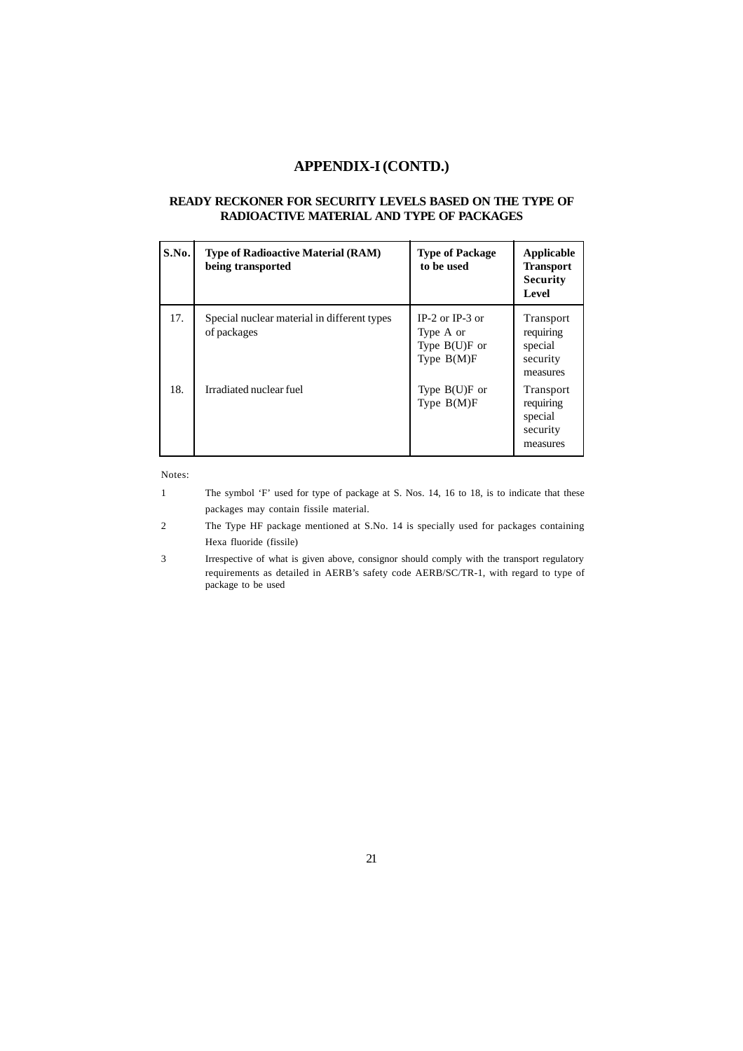### **APPENDIX-I (CONTD.)**

### **READY RECKONER FOR SECURITY LEVELS BASED ON THE TYPE OF RADIOACTIVE MATERIAL AND TYPE OF PACKAGES**

| S.No. | <b>Type of Radioactive Material (RAM)</b><br>being transported | <b>Type of Package</b><br>to be used                                | <b>Applicable</b><br><b>Transport</b><br><b>Security</b><br>Level |
|-------|----------------------------------------------------------------|---------------------------------------------------------------------|-------------------------------------------------------------------|
| 17.   | Special nuclear material in different types<br>of packages     | $IP-2$ or $IP-3$ or<br>Type A or<br>Type $B(U)F$ or<br>Type $B(M)F$ | Transport<br>requiring<br>special<br>security<br>measures         |
| 18.   | Irradiated nuclear fuel                                        | Type $B(U)F$ or<br>Type $B(M)F$                                     | Transport<br>requiring<br>special<br>security<br>measures         |

Notes:

- 1 The symbol 'F' used for type of package at S. Nos. 14, 16 to 18, is to indicate that these packages may contain fissile material.
- 2 The Type HF package mentioned at S.No. 14 is specially used for packages containing Hexa fluoride (fissile)
- 3 Irrespective of what is given above, consignor should comply with the transport regulatory requirements as detailed in AERB's safety code AERB/SC/TR-1, with regard to type of package to be used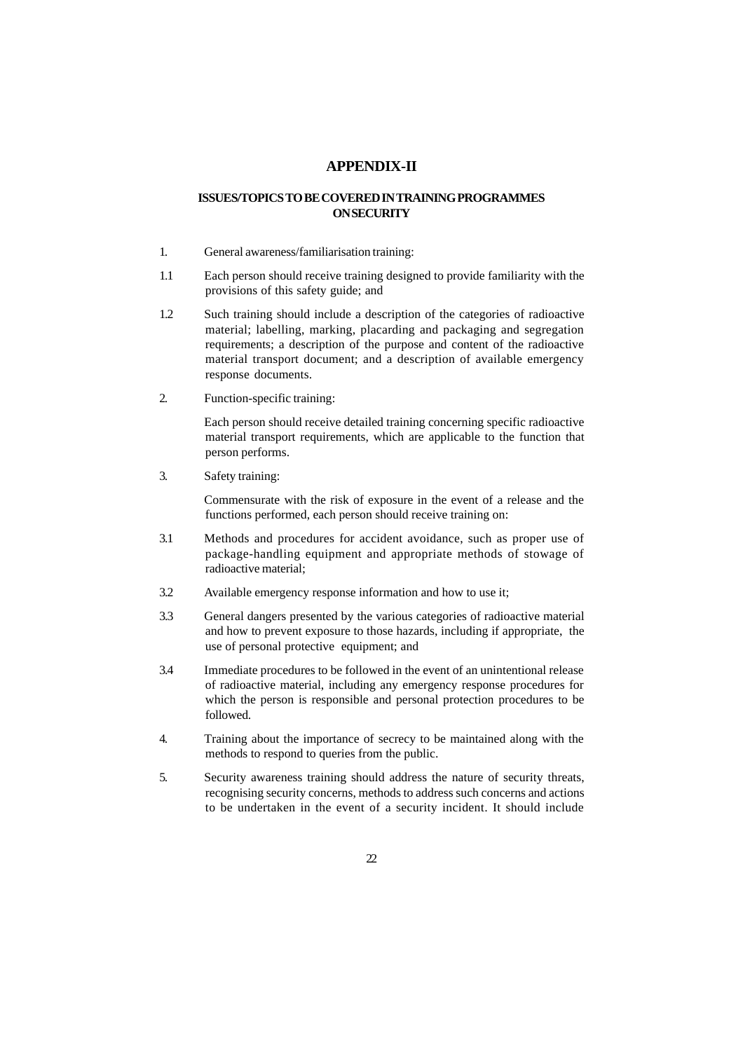### **APPENDIX-II**

### **ISSUES/TOPICS TO BE COVERED IN TRAINING PROGRAMMES ON SECURITY**

- 1. General awareness/familiarisation training:
- 1.1 Each person should receive training designed to provide familiarity with the provisions of this safety guide; and
- 1.2 Such training should include a description of the categories of radioactive material; labelling, marking, placarding and packaging and segregation requirements; a description of the purpose and content of the radioactive material transport document; and a description of available emergency response documents.
- 2. Function-specific training:

Each person should receive detailed training concerning specific radioactive material transport requirements, which are applicable to the function that person performs.

3. Safety training:

Commensurate with the risk of exposure in the event of a release and the functions performed, each person should receive training on:

- 3.1 Methods and procedures for accident avoidance, such as proper use of package-handling equipment and appropriate methods of stowage of radioactive material;
- 3.2 Available emergency response information and how to use it;
- 3.3 General dangers presented by the various categories of radioactive material and how to prevent exposure to those hazards, including if appropriate, the use of personal protective equipment; and
- 3.4 Immediate procedures to be followed in the event of an unintentional release of radioactive material, including any emergency response procedures for which the person is responsible and personal protection procedures to be followed.
- 4. Training about the importance of secrecy to be maintained along with the methods to respond to queries from the public.
- 5. Security awareness training should address the nature of security threats, recognising security concerns, methods to address such concerns and actions to be undertaken in the event of a security incident. It should include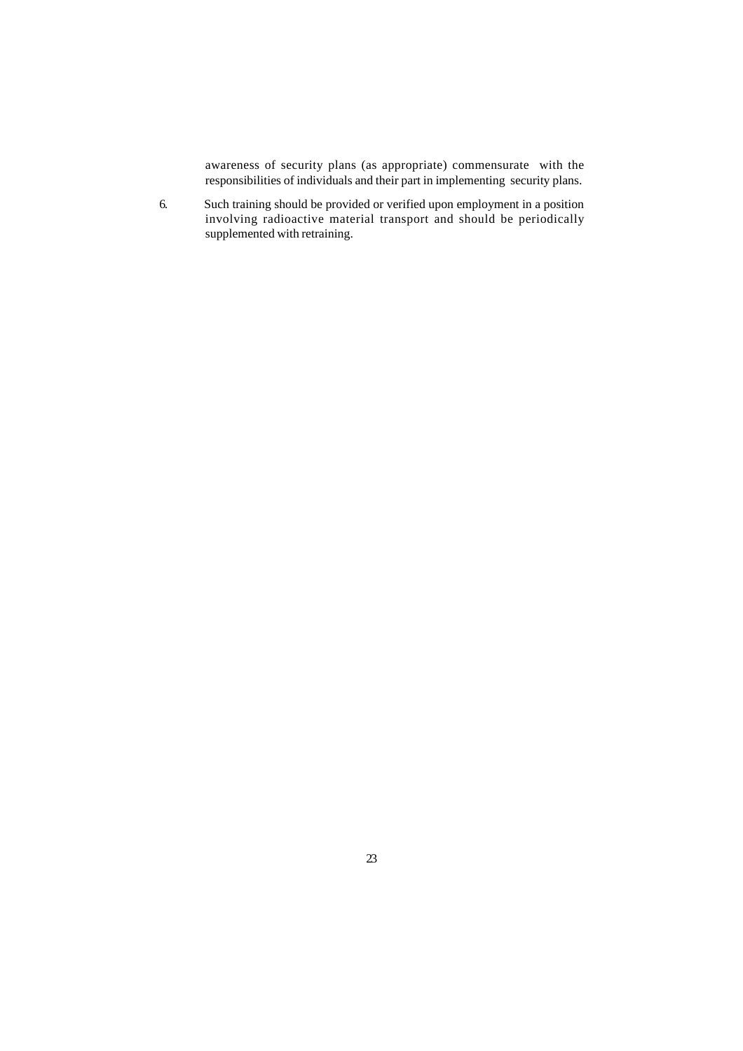awareness of security plans (as appropriate) commensurate with the responsibilities of individuals and their part in implementing security plans.

6. Such training should be provided or verified upon employment in a position involving radioactive material transport and should be periodically supplemented with retraining.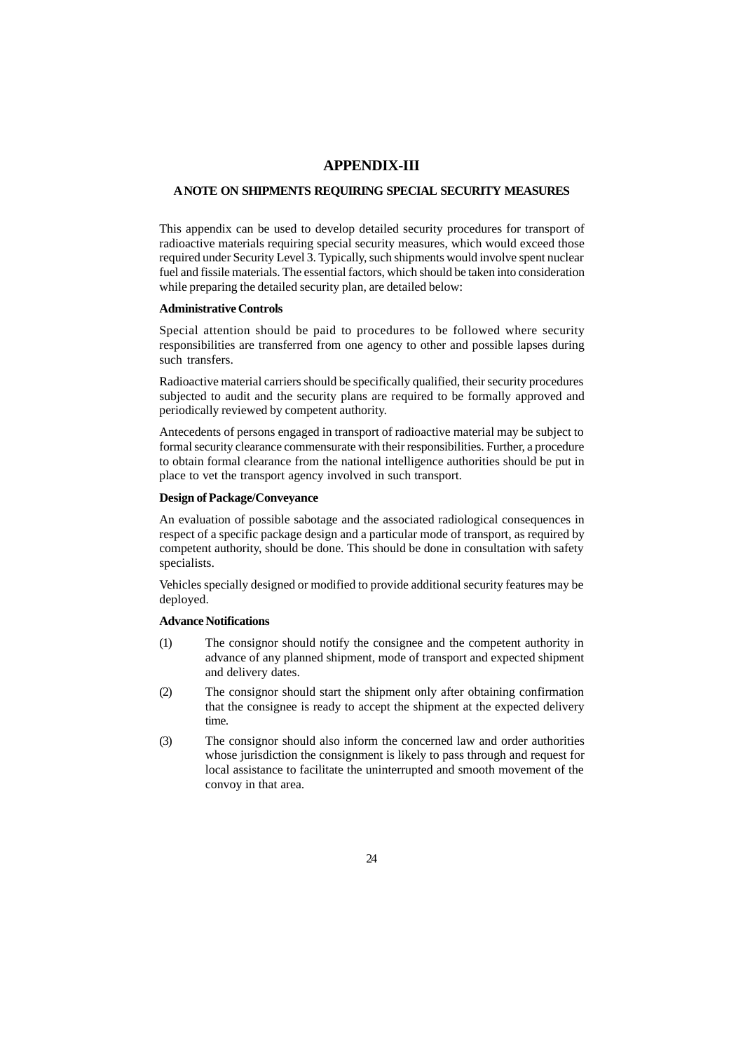### **APPENDIX-III**

### **A NOTE ON SHIPMENTS REQUIRING SPECIAL SECURITY MEASURES**

This appendix can be used to develop detailed security procedures for transport of radioactive materials requiring special security measures, which would exceed those required under Security Level 3. Typically, such shipments would involve spent nuclear fuel and fissile materials. The essential factors, which should be taken into consideration while preparing the detailed security plan, are detailed below:

### **Administrative Controls**

Special attention should be paid to procedures to be followed where security responsibilities are transferred from one agency to other and possible lapses during such transfers.

Radioactive material carriers should be specifically qualified, their security procedures subjected to audit and the security plans are required to be formally approved and periodically reviewed by competent authority.

Antecedents of persons engaged in transport of radioactive material may be subject to formal security clearance commensurate with their responsibilities. Further, a procedure to obtain formal clearance from the national intelligence authorities should be put in place to vet the transport agency involved in such transport.

### **Design of Package/Conveyance**

An evaluation of possible sabotage and the associated radiological consequences in respect of a specific package design and a particular mode of transport, as required by competent authority, should be done. This should be done in consultation with safety specialists.

Vehicles specially designed or modified to provide additional security features may be deployed.

### **Advance Notifications**

- (1) The consignor should notify the consignee and the competent authority in advance of any planned shipment, mode of transport and expected shipment and delivery dates.
- (2) The consignor should start the shipment only after obtaining confirmation that the consignee is ready to accept the shipment at the expected delivery time.
- (3) The consignor should also inform the concerned law and order authorities whose jurisdiction the consignment is likely to pass through and request for local assistance to facilitate the uninterrupted and smooth movement of the convoy in that area.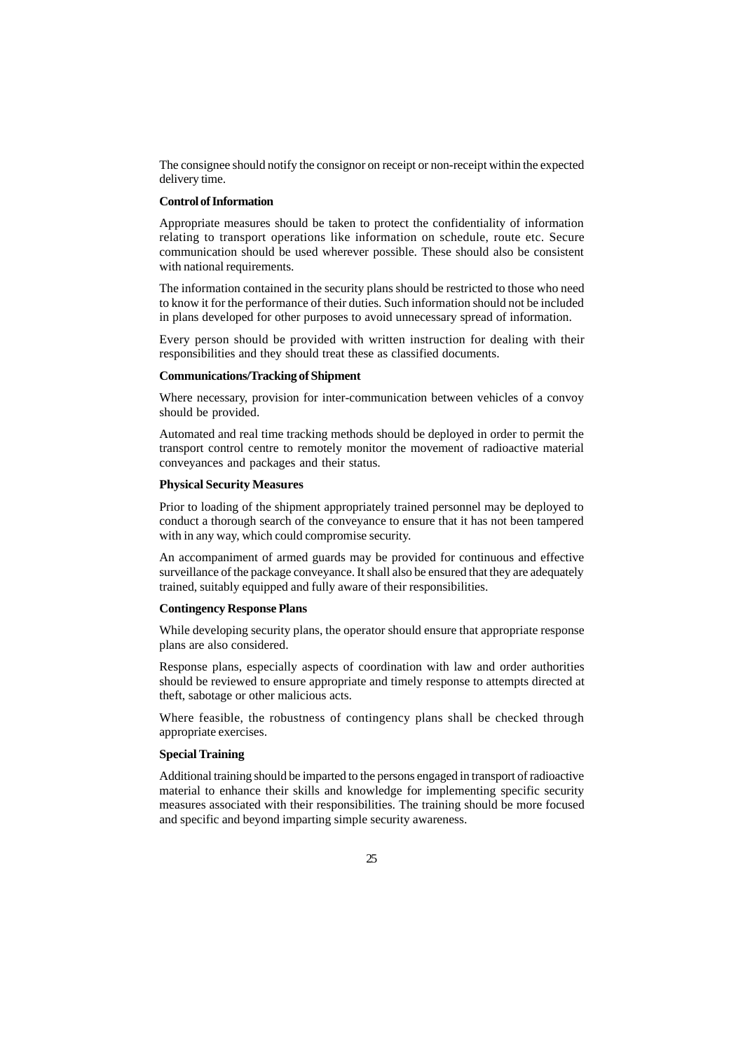The consignee should notify the consignor on receipt or non-receipt within the expected delivery time.

#### **Control of Information**

Appropriate measures should be taken to protect the confidentiality of information relating to transport operations like information on schedule, route etc. Secure communication should be used wherever possible. These should also be consistent with national requirements.

The information contained in the security plans should be restricted to those who need to know it for the performance of their duties. Such information should not be included in plans developed for other purposes to avoid unnecessary spread of information.

Every person should be provided with written instruction for dealing with their responsibilities and they should treat these as classified documents.

### **Communications/Tracking of Shipment**

Where necessary, provision for inter-communication between vehicles of a convoy should be provided.

Automated and real time tracking methods should be deployed in order to permit the transport control centre to remotely monitor the movement of radioactive material conveyances and packages and their status.

#### **Physical Security Measures**

Prior to loading of the shipment appropriately trained personnel may be deployed to conduct a thorough search of the conveyance to ensure that it has not been tampered with in any way, which could compromise security.

An accompaniment of armed guards may be provided for continuous and effective surveillance of the package conveyance. It shall also be ensured that they are adequately trained, suitably equipped and fully aware of their responsibilities.

#### **Contingency Response Plans**

While developing security plans, the operator should ensure that appropriate response plans are also considered.

Response plans, especially aspects of coordination with law and order authorities should be reviewed to ensure appropriate and timely response to attempts directed at theft, sabotage or other malicious acts.

Where feasible, the robustness of contingency plans shall be checked through appropriate exercises.

#### **Special Training**

Additional training should be imparted to the persons engaged in transport of radioactive material to enhance their skills and knowledge for implementing specific security measures associated with their responsibilities. The training should be more focused and specific and beyond imparting simple security awareness.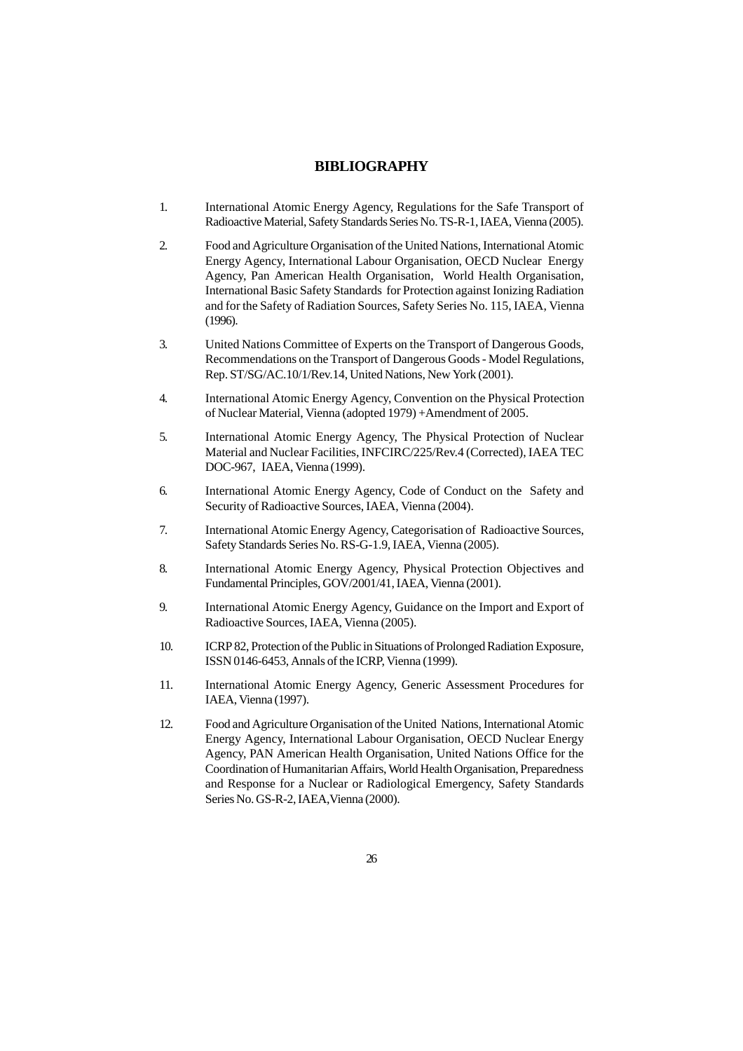#### **BIBLIOGRAPHY**

- 1. International Atomic Energy Agency, Regulations for the Safe Transport of Radioactive Material, Safety Standards Series No. TS-R-1, IAEA, Vienna (2005).
- 2. Food and Agriculture Organisation of the United Nations, International Atomic Energy Agency, International Labour Organisation, OECD Nuclear Energy Agency, Pan American Health Organisation, World Health Organisation, International Basic Safety Standards for Protection against Ionizing Radiation and for the Safety of Radiation Sources, Safety Series No. 115, IAEA, Vienna (1996).
- 3. United Nations Committee of Experts on the Transport of Dangerous Goods, Recommendations on the Transport of Dangerous Goods - Model Regulations, Rep. ST/SG/AC.10/1/Rev.14, United Nations, New York (2001).
- 4. International Atomic Energy Agency, Convention on the Physical Protection of Nuclear Material, Vienna (adopted 1979) +Amendment of 2005.
- 5. International Atomic Energy Agency, The Physical Protection of Nuclear Material and Nuclear Facilities, INFCIRC/225/Rev.4 (Corrected), IAEA TEC DOC-967, IAEA, Vienna (1999).
- 6. International Atomic Energy Agency, Code of Conduct on the Safety and Security of Radioactive Sources, IAEA, Vienna (2004).
- 7. International Atomic Energy Agency, Categorisation of Radioactive Sources, Safety Standards Series No. RS-G-1.9, IAEA, Vienna (2005).
- 8. International Atomic Energy Agency, Physical Protection Objectives and Fundamental Principles, GOV/2001/41, IAEA, Vienna (2001).
- 9. International Atomic Energy Agency, Guidance on the Import and Export of Radioactive Sources, IAEA, Vienna (2005).
- 10. ICRP 82, Protection of the Public in Situations of Prolonged Radiation Exposure, ISSN 0146-6453, Annals of the ICRP, Vienna (1999).
- 11. International Atomic Energy Agency, Generic Assessment Procedures for IAEA, Vienna (1997).
- 12. Food and Agriculture Organisation of the United Nations, International Atomic Energy Agency, International Labour Organisation, OECD Nuclear Energy Agency, PAN American Health Organisation, United Nations Office for the Coordination of Humanitarian Affairs, World Health Organisation, Preparedness and Response for a Nuclear or Radiological Emergency, Safety Standards Series No. GS-R-2, IAEA,Vienna (2000).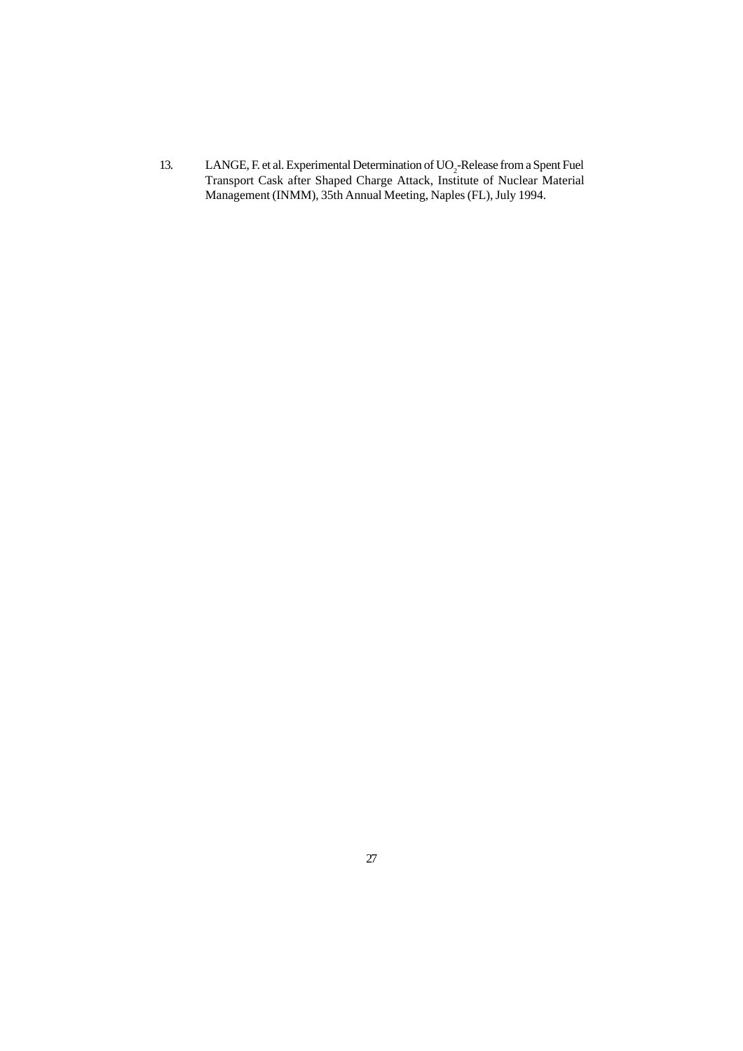13. LANGE, F. et al. Experimental Determination of  $UO<sub>2</sub>$ -Release from a Spent Fuel Transport Cask after Shaped Charge Attack, Institute of Nuclear Material Management (INMM), 35th Annual Meeting, Naples (FL), July 1994.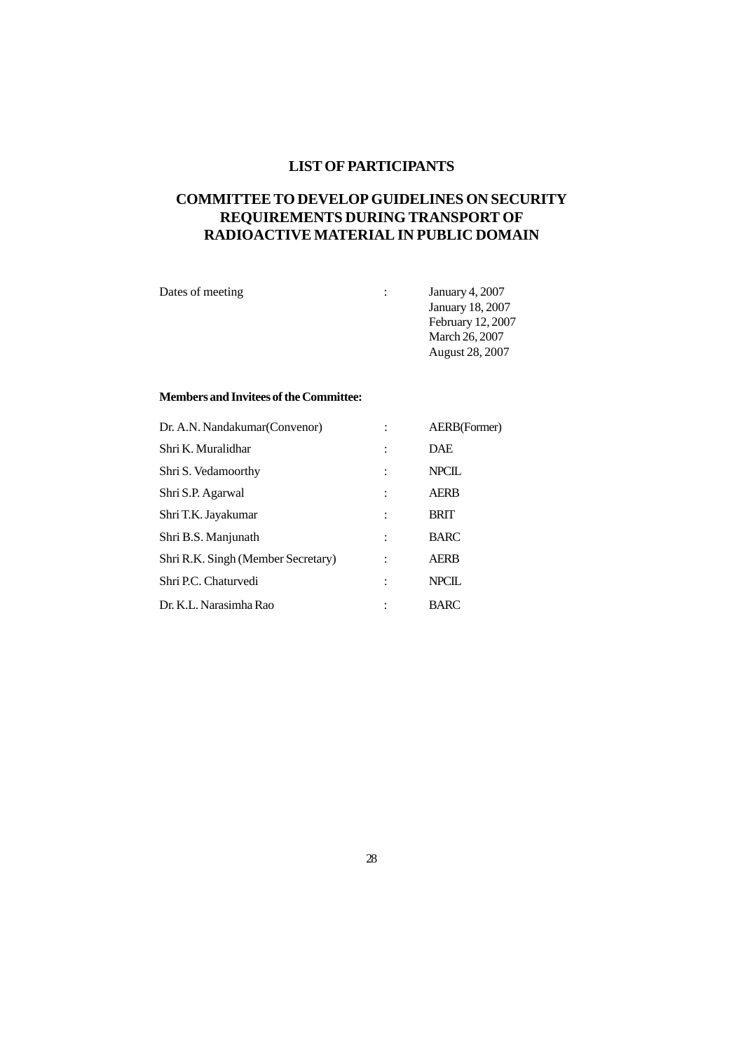### **LIST OF PARTICIPANTS**

# **COMMITTEE TO DEVELOP GUIDELINES ON SECURITY REQUIREMENTS DURING TRANSPORT OF RADIOACTIVE MATERIAL IN PUBLIC DOMAIN**

| Dates of meeting | $\mathbb{R}^n$ | <b>January 4, 2007</b>  |
|------------------|----------------|-------------------------|
|                  |                | <b>January 18, 2007</b> |
|                  |                | February 12, 2007       |
|                  |                | March 26, 2007          |
|                  |                | August 28, 2007         |
|                  |                |                         |

### **Members and Invitees of the Committee:**

| Dr. A.N. Nandakumar (Convenor)     | AERB(Former) |
|------------------------------------|--------------|
| Shri K. Muralidhar                 | <b>DAE</b>   |
| Shri S. Vedamoorthy                | <b>NPCIL</b> |
| Shri S.P. Agarwal                  | <b>AERB</b>  |
| Shri T.K. Jayakumar                | <b>BRIT</b>  |
| Shri B.S. Manjunath                | <b>BARC</b>  |
| Shri R.K. Singh (Member Secretary) | <b>AERB</b>  |
| Shri P.C. Chaturvedi               | <b>NPCIL</b> |
| Dr. K.L. Narasimha Rao             | <b>BARC</b>  |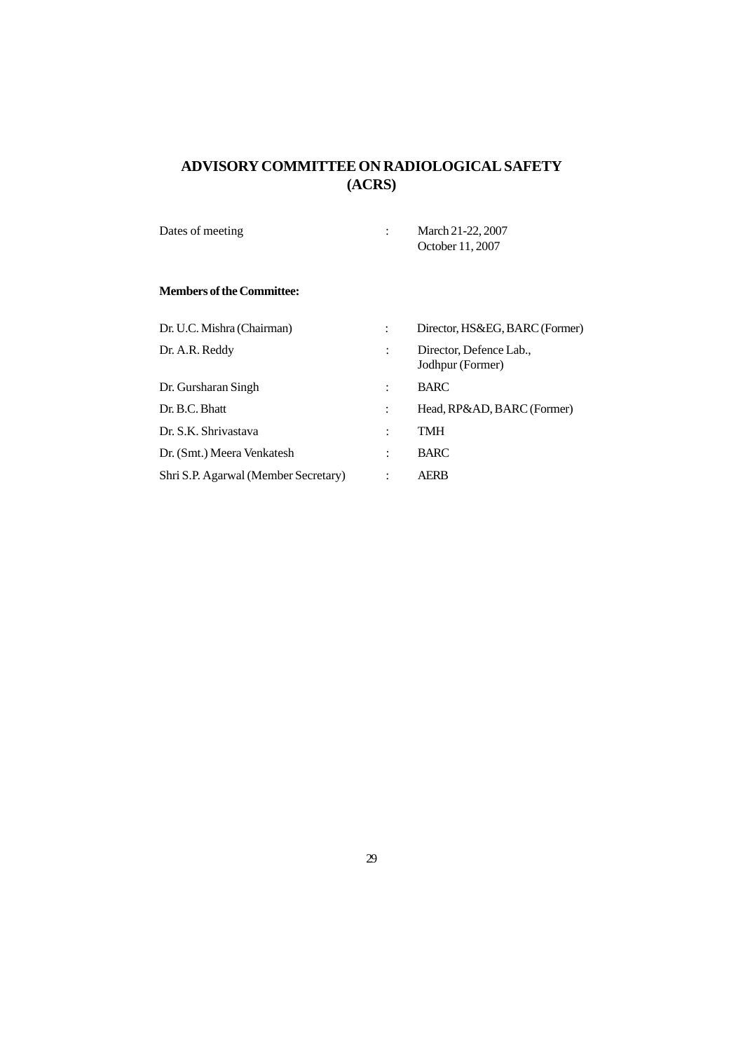# **ADVISORY COMMITTEE ON RADIOLOGICAL SAFETY (ACRS)**

| Dates of meeting | March 21-22, 2007 |
|------------------|-------------------|
|                  | October 11, 2007  |

### **Members of the Committee:**

| Dr. U.C. Mishra (Chairman)           | Director, HS&EG, BARC (Former)              |
|--------------------------------------|---------------------------------------------|
| Dr. A.R. Reddy                       | Director, Defence Lab.,<br>Jodhpur (Former) |
| Dr. Gursharan Singh                  | <b>BARC</b>                                 |
| Dr. B.C. Bhatt                       | Head, RP&AD, BARC (Former)                  |
| Dr. S.K. Shrivastava                 | TMH                                         |
| Dr. (Smt.) Meera Venkatesh           | <b>BARC</b>                                 |
| Shri S.P. Agarwal (Member Secretary) | <b>AERB</b>                                 |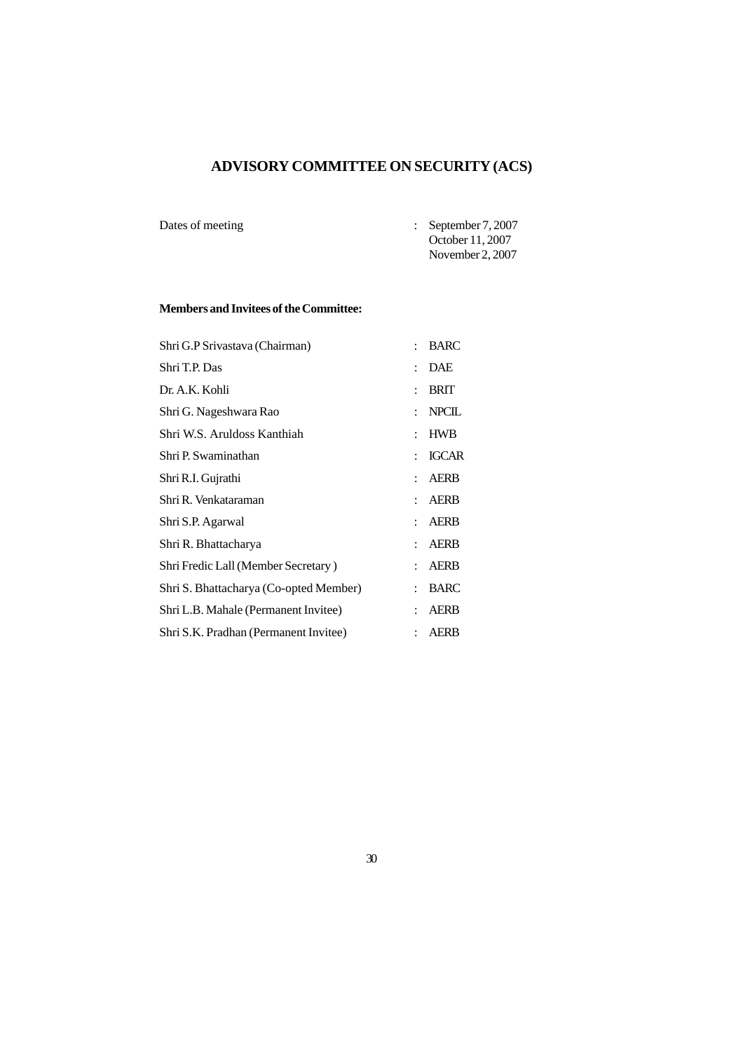# **ADVISORY COMMITTEE ON SECURITY (ACS)**

Dates of meeting : September 7, 2007 October 11, 2007 November 2, 2007

### **Members and Invitees of the Committee:**

|                      | <b>BARC</b>  |
|----------------------|--------------|
|                      | <b>DAE</b>   |
| $\ddot{\phantom{0}}$ | <b>BRIT</b>  |
|                      | <b>NPCIL</b> |
| ٠                    | <b>HWB</b>   |
|                      | <b>IGCAR</b> |
|                      | <b>AERB</b>  |
|                      | <b>AERB</b>  |
|                      | <b>AERB</b>  |
|                      | <b>AERB</b>  |
| ٠                    | <b>AERB</b>  |
|                      | <b>BARC</b>  |
|                      | <b>AERB</b>  |
|                      | <b>AERB</b>  |
|                      |              |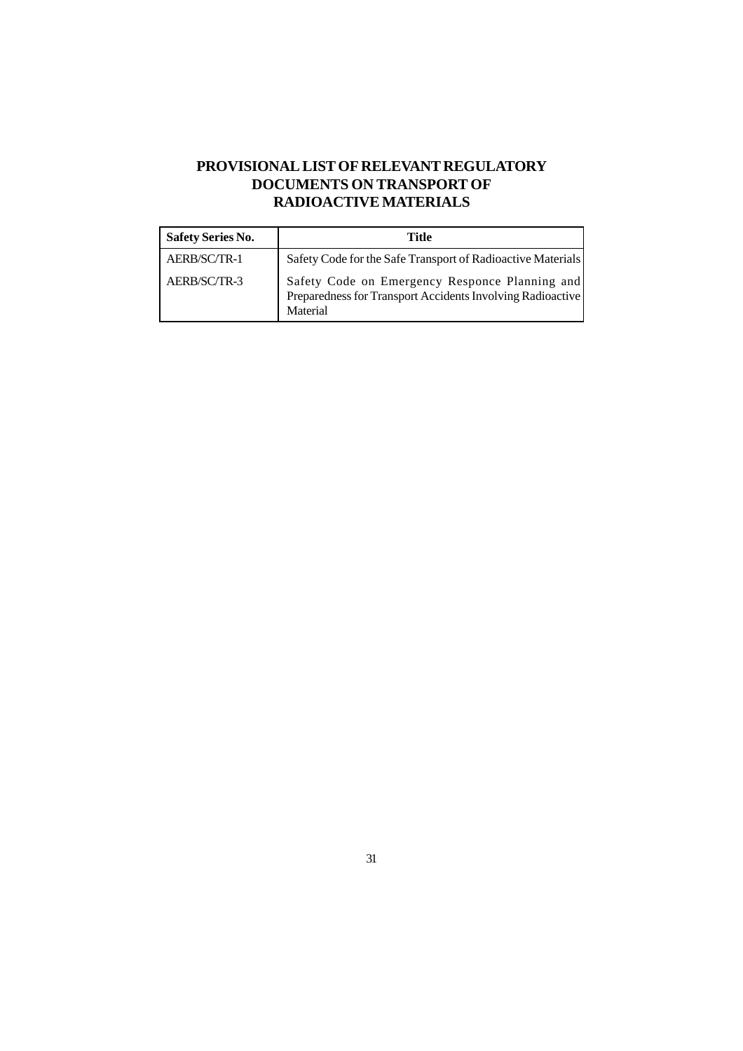# **PROVISIONAL LIST OF RELEVANT REGULATORY DOCUMENTS ON TRANSPORT OF RADIOACTIVE MATERIALS**

| <b>Safety Series No.</b> | Title                                                                                                                    |
|--------------------------|--------------------------------------------------------------------------------------------------------------------------|
| AERB/SC/TR-1             | Safety Code for the Safe Transport of Radioactive Materials                                                              |
| AERB/SC/TR-3             | Safety Code on Emergency Responce Planning and<br>Preparedness for Transport Accidents Involving Radioactive<br>Material |